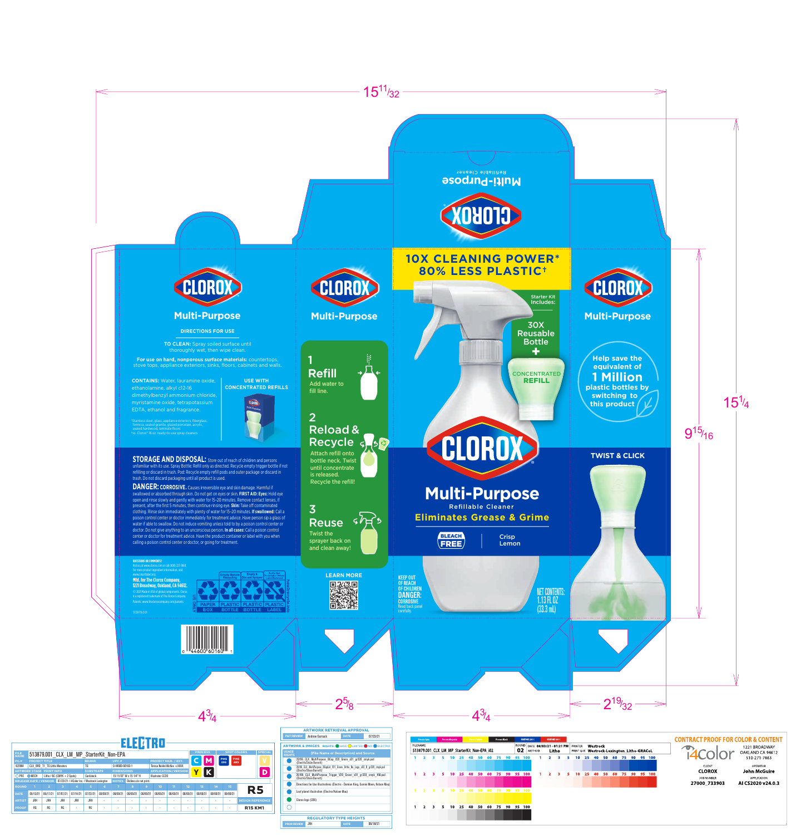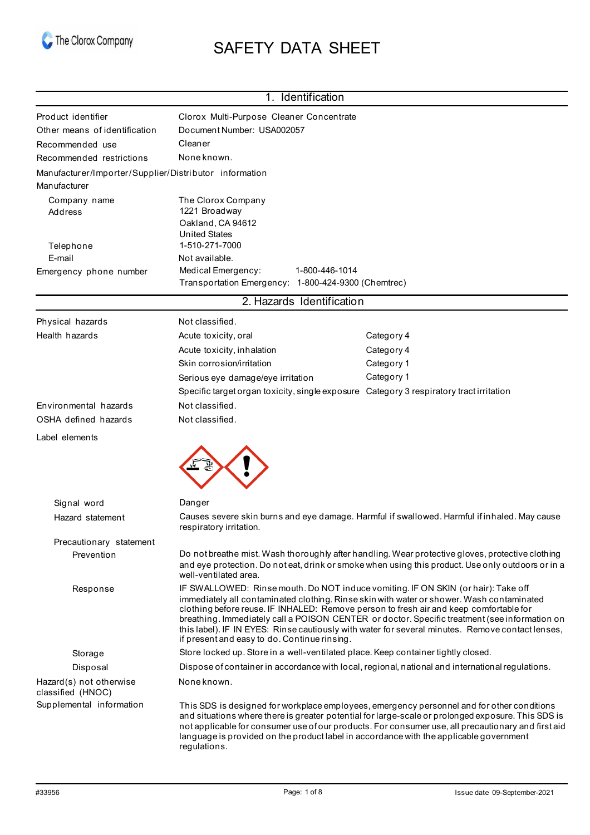

# SAFETY DATA SHEET

| 1. Identification                                                      |                                                                                                                                                                                                                                                                                                                                                                                                                                                                                                                               |                                                                                                                                                                                                                                                                                                        |  |
|------------------------------------------------------------------------|-------------------------------------------------------------------------------------------------------------------------------------------------------------------------------------------------------------------------------------------------------------------------------------------------------------------------------------------------------------------------------------------------------------------------------------------------------------------------------------------------------------------------------|--------------------------------------------------------------------------------------------------------------------------------------------------------------------------------------------------------------------------------------------------------------------------------------------------------|--|
| Product identifier                                                     | Clorox Multi-Purpose Cleaner Concentrate                                                                                                                                                                                                                                                                                                                                                                                                                                                                                      |                                                                                                                                                                                                                                                                                                        |  |
| Other means of identification                                          | Document Number: USA002057                                                                                                                                                                                                                                                                                                                                                                                                                                                                                                    |                                                                                                                                                                                                                                                                                                        |  |
| Recommended use                                                        | Cleaner                                                                                                                                                                                                                                                                                                                                                                                                                                                                                                                       |                                                                                                                                                                                                                                                                                                        |  |
| Recommended restrictions                                               | Noneknown.                                                                                                                                                                                                                                                                                                                                                                                                                                                                                                                    |                                                                                                                                                                                                                                                                                                        |  |
| Manufacturer/Importer/Supplier/Distributor information<br>Manufacturer |                                                                                                                                                                                                                                                                                                                                                                                                                                                                                                                               |                                                                                                                                                                                                                                                                                                        |  |
| Company name<br>Address<br>Telephone                                   | The Clorox Company<br>1221 Broadway<br>Oakland, CA 94612<br><b>United States</b><br>1-510-271-7000                                                                                                                                                                                                                                                                                                                                                                                                                            |                                                                                                                                                                                                                                                                                                        |  |
| E-mail                                                                 | Not available.                                                                                                                                                                                                                                                                                                                                                                                                                                                                                                                |                                                                                                                                                                                                                                                                                                        |  |
| Emergency phone number                                                 | Medical Emergency:<br>1-800-446-1014<br>Transportation Emergency: 1-800-424-9300 (Chemtrec)                                                                                                                                                                                                                                                                                                                                                                                                                                   |                                                                                                                                                                                                                                                                                                        |  |
|                                                                        | 2. Hazards Identification                                                                                                                                                                                                                                                                                                                                                                                                                                                                                                     |                                                                                                                                                                                                                                                                                                        |  |
| Physical hazards                                                       | Not classified.                                                                                                                                                                                                                                                                                                                                                                                                                                                                                                               |                                                                                                                                                                                                                                                                                                        |  |
| Health hazards                                                         | Acute toxicity, oral                                                                                                                                                                                                                                                                                                                                                                                                                                                                                                          | Category 4                                                                                                                                                                                                                                                                                             |  |
|                                                                        | Acute toxicity, inhalation                                                                                                                                                                                                                                                                                                                                                                                                                                                                                                    | Category 4                                                                                                                                                                                                                                                                                             |  |
|                                                                        | Skin corrosion/irritation                                                                                                                                                                                                                                                                                                                                                                                                                                                                                                     | Category 1                                                                                                                                                                                                                                                                                             |  |
|                                                                        | Serious eye damage/eye irritation                                                                                                                                                                                                                                                                                                                                                                                                                                                                                             | Category 1                                                                                                                                                                                                                                                                                             |  |
|                                                                        | Specific target organ toxicity, single exposure Category 3 respiratory tract irritation                                                                                                                                                                                                                                                                                                                                                                                                                                       |                                                                                                                                                                                                                                                                                                        |  |
| Environmental hazards                                                  | Not classified.                                                                                                                                                                                                                                                                                                                                                                                                                                                                                                               |                                                                                                                                                                                                                                                                                                        |  |
| OSHA defined hazards                                                   | Not classified.                                                                                                                                                                                                                                                                                                                                                                                                                                                                                                               |                                                                                                                                                                                                                                                                                                        |  |
| Label elements                                                         |                                                                                                                                                                                                                                                                                                                                                                                                                                                                                                                               |                                                                                                                                                                                                                                                                                                        |  |
|                                                                        |                                                                                                                                                                                                                                                                                                                                                                                                                                                                                                                               |                                                                                                                                                                                                                                                                                                        |  |
| Signal word                                                            | Danger                                                                                                                                                                                                                                                                                                                                                                                                                                                                                                                        |                                                                                                                                                                                                                                                                                                        |  |
| Hazard statement                                                       | Causes severe skin burns and eye damage. Harmful if swallowed. Harmful if inhaled. May cause<br>respiratory irritation.                                                                                                                                                                                                                                                                                                                                                                                                       |                                                                                                                                                                                                                                                                                                        |  |
| Precautionary statement                                                |                                                                                                                                                                                                                                                                                                                                                                                                                                                                                                                               |                                                                                                                                                                                                                                                                                                        |  |
| Prevention                                                             | Do not breathe mist. Wash thoroughly after handling. Wear protective gloves, protective clothing<br>and eye protection. Do not eat, drink or smoke when using this product. Use only outdoors or in a<br>well-ventilated area.                                                                                                                                                                                                                                                                                                |                                                                                                                                                                                                                                                                                                        |  |
| Response                                                               | IF SWALLOWED: Rinse mouth. Do NOT induce vomiting. IF ON SKIN (or hair): Take off<br>immediately all contaminated clothing. Rinse skin with water or shower. Wash contaminated<br>clothing before reuse. IF INHALED: Remove person to fresh air and keep comfortable for<br>breathing. Immediately call a POISON CENTER or doctor. Specific treatment (see information on<br>this label). IF IN EYES: Rinse cautiously with water for several minutes. Remove contact lenses,<br>if present and easy to do. Continue rinsing. |                                                                                                                                                                                                                                                                                                        |  |
| Storage                                                                | Store locked up. Store in a well-ventilated place. Keep container tightly closed.                                                                                                                                                                                                                                                                                                                                                                                                                                             |                                                                                                                                                                                                                                                                                                        |  |
| Disposal                                                               |                                                                                                                                                                                                                                                                                                                                                                                                                                                                                                                               | Dispose of container in accordance with local, regional, national and international regulations.                                                                                                                                                                                                       |  |
| Hazard(s) not otherwise<br>classified (HNOC)                           | Noneknown.                                                                                                                                                                                                                                                                                                                                                                                                                                                                                                                    |                                                                                                                                                                                                                                                                                                        |  |
| Supplemental information                                               | language is provided on the product label in accordance with the applicable government<br>regulations.                                                                                                                                                                                                                                                                                                                                                                                                                        | This SDS is designed for workplace employees, emergency personnel and for other conditions<br>and situations where there is greater potential for large-scale or prolonged exposure. This SDS is<br>not applicable for consumer use of our products. For consumer use, all precautionary and first aid |  |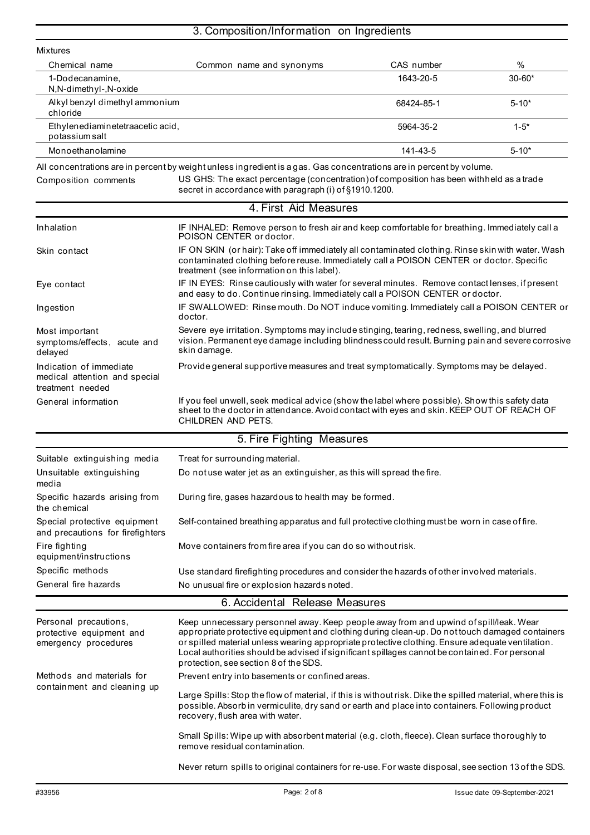# 3. Composition/Information on Ingredients

| Mixtures                                                                     |                                                                                                                                                                                                                                                                                                                                                                                                                                        |            |            |
|------------------------------------------------------------------------------|----------------------------------------------------------------------------------------------------------------------------------------------------------------------------------------------------------------------------------------------------------------------------------------------------------------------------------------------------------------------------------------------------------------------------------------|------------|------------|
| Chemical name                                                                | Common name and synonyms                                                                                                                                                                                                                                                                                                                                                                                                               | CAS number | %          |
| 1-Dodecanamine,<br>N,N-dimethyl-,N-oxide                                     |                                                                                                                                                                                                                                                                                                                                                                                                                                        | 1643-20-5  | $30 - 60*$ |
| Alkyl benzyl dimethyl ammonium<br>chloride                                   |                                                                                                                                                                                                                                                                                                                                                                                                                                        | 68424-85-1 | $5 - 10*$  |
| Ethylenediaminetetraacetic acid,<br>potassium salt                           |                                                                                                                                                                                                                                                                                                                                                                                                                                        | 5964-35-2  | $1 - 5*$   |
| Monoethanolamine                                                             |                                                                                                                                                                                                                                                                                                                                                                                                                                        | 141-43-5   | $5 - 10*$  |
|                                                                              | All concentrations are in percent by weight unless ingredient is a gas. Gas concentrations are in percent by volume.                                                                                                                                                                                                                                                                                                                   |            |            |
| Composition comments                                                         | US GHS: The exact percentage (concentration) of composition has been withheld as a trade<br>secret in accordance with paragraph (i) of §1910.1200.                                                                                                                                                                                                                                                                                     |            |            |
|                                                                              | 4. First Aid Measures                                                                                                                                                                                                                                                                                                                                                                                                                  |            |            |
| Inhalation                                                                   | IF INHALED: Remove person to fresh air and keep comfortable for breathing. Immediately call a<br>POISON CENTER or doctor.                                                                                                                                                                                                                                                                                                              |            |            |
| Skin contact                                                                 | IF ON SKIN (or hair): Take off immediately all contaminated clothing. Rinse skin with water. Wash<br>contaminated clothing before reuse. Immediately call a POISON CENTER or doctor. Specific<br>treatment (see information on this label).                                                                                                                                                                                            |            |            |
| Eye contact                                                                  | IF IN EYES: Rinse cautiously with water for several minutes. Remove contact lenses, if present<br>and easy to do. Continue rinsing. Immediately call a POISON CENTER or doctor.                                                                                                                                                                                                                                                        |            |            |
| Ingestion                                                                    | IF SWALLOWED: Rinse mouth. Do NOT induce vomiting. Immediately call a POISON CENTER or<br>doctor.                                                                                                                                                                                                                                                                                                                                      |            |            |
| Most important<br>symptoms/effects, acute and<br>delayed                     | Severe eye irritation. Symptoms may include stinging, tearing, redness, swelling, and blurred<br>vision. Permanent eye damage including blindness could result. Burning pain and severe corrosive<br>skin damage.                                                                                                                                                                                                                      |            |            |
| Indication of immediate<br>medical attention and special<br>treatment needed | Provide general supportive measures and treat symptomatically. Symptoms may be delayed.                                                                                                                                                                                                                                                                                                                                                |            |            |
| General information                                                          | If you feel unwell, seek medical advice (show the label where possible). Show this safety data<br>sheet to the doctor in attendance. Avoid contact with eyes and skin. KEEP OUT OF REACH OF<br>CHILDREN AND PETS.                                                                                                                                                                                                                      |            |            |
|                                                                              | 5. Fire Fighting Measures                                                                                                                                                                                                                                                                                                                                                                                                              |            |            |
| Suitable extinguishing media                                                 | Treat for surrounding material.                                                                                                                                                                                                                                                                                                                                                                                                        |            |            |
| Unsuitable extinguishing<br>media                                            | Do not use water jet as an extinguisher, as this will spread the fire.                                                                                                                                                                                                                                                                                                                                                                 |            |            |
| Specific hazards arising from<br>the chemical                                | During fire, gases hazardous to health may be formed.                                                                                                                                                                                                                                                                                                                                                                                  |            |            |
| Special protective equipment<br>and precautions for firefighters             | Self-contained breathing apparatus and full protective clothing must be worn in case of fire.                                                                                                                                                                                                                                                                                                                                          |            |            |
| Fire fighting<br>equipment/instructions                                      | Move containers from fire area if you can do so without risk.                                                                                                                                                                                                                                                                                                                                                                          |            |            |
| Specific methods                                                             | Use standard firefighting procedures and consider the hazards of other involved materials.                                                                                                                                                                                                                                                                                                                                             |            |            |
| General fire hazards                                                         | No unusual fire or explosion hazards noted.                                                                                                                                                                                                                                                                                                                                                                                            |            |            |
|                                                                              | 6. Accidental Release Measures                                                                                                                                                                                                                                                                                                                                                                                                         |            |            |
| Personal precautions,<br>protective equipment and<br>emergency procedures    | Keep unnecessary personnel away. Keep people away from and upwind of spill/leak. Wear<br>appropriate protective equipment and clothing during clean-up. Do not touch damaged containers<br>or spilled material unless wearing appropriate protective clothing. Ensure adequate ventilation.<br>Local authorities should be advised if significant spillages cannot be contained. For personal<br>protection, see section 8 of the SDS. |            |            |
| Methods and materials for                                                    | Prevent entry into basements or confined areas.                                                                                                                                                                                                                                                                                                                                                                                        |            |            |
| containment and cleaning up                                                  | Large Spills: Stop the flow of material, if this is without risk. Dike the spilled material, where this is<br>possible. Absorb in vermiculite, dry sand or earth and place into containers. Following product<br>recovery, flush area with water.                                                                                                                                                                                      |            |            |
|                                                                              | Small Spills: Wipe up with absorbent material (e.g. cloth, fleece). Clean surface thoroughly to<br>remove residual contamination.                                                                                                                                                                                                                                                                                                      |            |            |

Never return spills to original containers for re-use. For waste disposal, see section 13 of the SDS.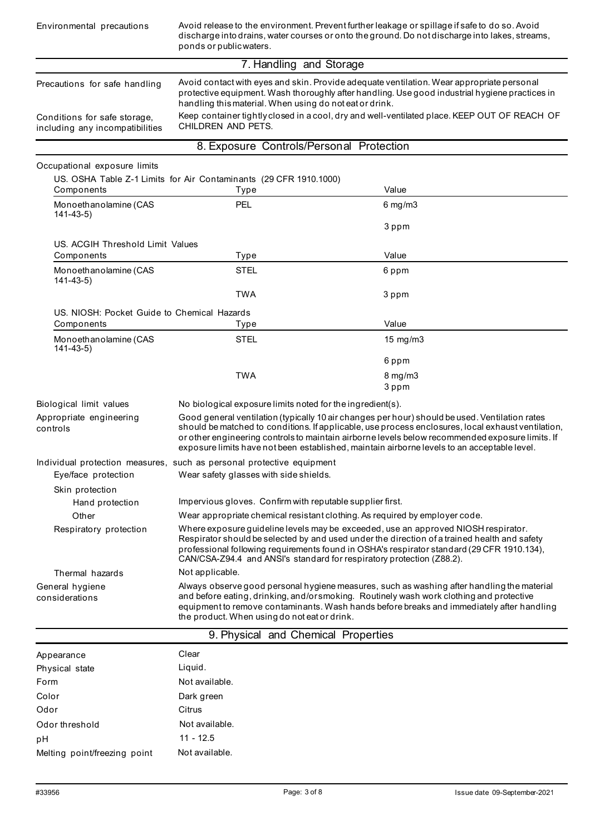| Environmental precautions                                                                        | Avoid release to the environment. Prevent further leakage or spillage if safe to do so. Avoid<br>discharge into drains, water courses or onto the ground. Do not discharge into lakes, streams,<br>ponds or public waters.                                                                                                                                                   |                                                                                                                                                                                                                                                                                                                                                                                                        |  |
|--------------------------------------------------------------------------------------------------|------------------------------------------------------------------------------------------------------------------------------------------------------------------------------------------------------------------------------------------------------------------------------------------------------------------------------------------------------------------------------|--------------------------------------------------------------------------------------------------------------------------------------------------------------------------------------------------------------------------------------------------------------------------------------------------------------------------------------------------------------------------------------------------------|--|
|                                                                                                  | 7. Handling and Storage                                                                                                                                                                                                                                                                                                                                                      |                                                                                                                                                                                                                                                                                                                                                                                                        |  |
| Precautions for safe handling<br>Conditions for safe storage,<br>including any incompatibilities | Avoid contact with eyes and skin. Provide adequate ventilation. Wear appropriate personal<br>protective equipment. Wash thoroughly after handling. Use good industrial hygiene practices in<br>handling this material. When using do not eat or drink.<br>Keep container tightly closed in a cool, dry and well-ventilated place. KEEP OUT OF REACH OF<br>CHILDREN AND PETS. |                                                                                                                                                                                                                                                                                                                                                                                                        |  |
|                                                                                                  | 8. Exposure Controls/Personal Protection                                                                                                                                                                                                                                                                                                                                     |                                                                                                                                                                                                                                                                                                                                                                                                        |  |
| Occupational exposure limits                                                                     |                                                                                                                                                                                                                                                                                                                                                                              |                                                                                                                                                                                                                                                                                                                                                                                                        |  |
| Components                                                                                       | US. OSHA Table Z-1 Limits for Air Contaminants (29 CFR 1910.1000)<br>Type                                                                                                                                                                                                                                                                                                    | Value                                                                                                                                                                                                                                                                                                                                                                                                  |  |
| Monoethanolamine (CAS                                                                            | <b>PEL</b>                                                                                                                                                                                                                                                                                                                                                                   | $6$ mg/m $3$                                                                                                                                                                                                                                                                                                                                                                                           |  |
| $141 - 43 - 5$                                                                                   |                                                                                                                                                                                                                                                                                                                                                                              |                                                                                                                                                                                                                                                                                                                                                                                                        |  |
|                                                                                                  |                                                                                                                                                                                                                                                                                                                                                                              | 3 ppm                                                                                                                                                                                                                                                                                                                                                                                                  |  |
| US. ACGIH Threshold Limit Values                                                                 |                                                                                                                                                                                                                                                                                                                                                                              | Value                                                                                                                                                                                                                                                                                                                                                                                                  |  |
| Components                                                                                       | Type<br><b>STEL</b>                                                                                                                                                                                                                                                                                                                                                          |                                                                                                                                                                                                                                                                                                                                                                                                        |  |
| Monoethanolamine (CAS<br>$141 - 43 - 5$                                                          |                                                                                                                                                                                                                                                                                                                                                                              | 6 ppm                                                                                                                                                                                                                                                                                                                                                                                                  |  |
|                                                                                                  | <b>TWA</b>                                                                                                                                                                                                                                                                                                                                                                   | 3 ppm                                                                                                                                                                                                                                                                                                                                                                                                  |  |
| US. NIOSH: Pocket Guide to Chemical Hazards                                                      |                                                                                                                                                                                                                                                                                                                                                                              |                                                                                                                                                                                                                                                                                                                                                                                                        |  |
| Components                                                                                       | Type                                                                                                                                                                                                                                                                                                                                                                         | Value                                                                                                                                                                                                                                                                                                                                                                                                  |  |
| Monoethanolamine (CAS                                                                            | <b>STEL</b>                                                                                                                                                                                                                                                                                                                                                                  | 15 mg/m3                                                                                                                                                                                                                                                                                                                                                                                               |  |
| $141 - 43 - 5$                                                                                   |                                                                                                                                                                                                                                                                                                                                                                              | 6 ppm                                                                                                                                                                                                                                                                                                                                                                                                  |  |
|                                                                                                  | <b>TWA</b>                                                                                                                                                                                                                                                                                                                                                                   | 8 mg/m3                                                                                                                                                                                                                                                                                                                                                                                                |  |
|                                                                                                  |                                                                                                                                                                                                                                                                                                                                                                              | 3 ppm                                                                                                                                                                                                                                                                                                                                                                                                  |  |
| Biological limit values                                                                          | No biological exposure limits noted for the ingredient(s).                                                                                                                                                                                                                                                                                                                   |                                                                                                                                                                                                                                                                                                                                                                                                        |  |
| Appropriate engineering<br>controls                                                              |                                                                                                                                                                                                                                                                                                                                                                              | Good general ventilation (typically 10 air changes per hour) should be used. Ventilation rates<br>should be matched to conditions. If applicable, use process enclosures, local exhaust ventilation,<br>or other engineering controls to maintain airborne levels below recommended exposure limits. If<br>exposure limits have not been established, maintain airborne levels to an acceptable level. |  |
|                                                                                                  | Individual protection measures, such as personal protective equipment                                                                                                                                                                                                                                                                                                        |                                                                                                                                                                                                                                                                                                                                                                                                        |  |
| Eye/face protection                                                                              | Wear safety glasses with side shields.                                                                                                                                                                                                                                                                                                                                       |                                                                                                                                                                                                                                                                                                                                                                                                        |  |
| Skin protection                                                                                  |                                                                                                                                                                                                                                                                                                                                                                              |                                                                                                                                                                                                                                                                                                                                                                                                        |  |
| Hand protection                                                                                  | Impervious gloves. Confirm with reputable supplier first.                                                                                                                                                                                                                                                                                                                    |                                                                                                                                                                                                                                                                                                                                                                                                        |  |
| Other<br>Respiratory protection                                                                  | Wear appropriate chemical resistant clothing. As required by employer code.                                                                                                                                                                                                                                                                                                  |                                                                                                                                                                                                                                                                                                                                                                                                        |  |
|                                                                                                  | Where exposure guideline levels may be exceeded, use an approved NIOSH respirator.<br>Respirator should be selected by and used under the direction of a trained health and safety<br>professional following requirements found in OSHA's respirator standard (29 CFR 1910.134),<br>CAN/CSA-Z94.4 and ANSI's standard for respiratory protection (Z88.2).                    |                                                                                                                                                                                                                                                                                                                                                                                                        |  |
| Thermal hazards                                                                                  | Not applicable.                                                                                                                                                                                                                                                                                                                                                              |                                                                                                                                                                                                                                                                                                                                                                                                        |  |
| General hygiene<br>considerations                                                                | Always observe good personal hygiene measures, such as washing after handling the material<br>and before eating, drinking, and/orsmoking. Routinely wash work clothing and protective<br>equipment to remove contaminants. Wash hands before breaks and immediately after handling<br>the product. When using do not eat or drink.                                           |                                                                                                                                                                                                                                                                                                                                                                                                        |  |
|                                                                                                  | 9. Physical and Chemical Properties                                                                                                                                                                                                                                                                                                                                          |                                                                                                                                                                                                                                                                                                                                                                                                        |  |
| Appearance                                                                                       | Clear                                                                                                                                                                                                                                                                                                                                                                        |                                                                                                                                                                                                                                                                                                                                                                                                        |  |
| Physical state                                                                                   | Liquid.                                                                                                                                                                                                                                                                                                                                                                      |                                                                                                                                                                                                                                                                                                                                                                                                        |  |
| Form                                                                                             | Not available.                                                                                                                                                                                                                                                                                                                                                               |                                                                                                                                                                                                                                                                                                                                                                                                        |  |
| Color                                                                                            | Dark green                                                                                                                                                                                                                                                                                                                                                                   |                                                                                                                                                                                                                                                                                                                                                                                                        |  |
| Odor                                                                                             | Citrus                                                                                                                                                                                                                                                                                                                                                                       |                                                                                                                                                                                                                                                                                                                                                                                                        |  |
| Odor threshold                                                                                   | Not available.                                                                                                                                                                                                                                                                                                                                                               |                                                                                                                                                                                                                                                                                                                                                                                                        |  |
| pH                                                                                               | $11 - 12.5$                                                                                                                                                                                                                                                                                                                                                                  |                                                                                                                                                                                                                                                                                                                                                                                                        |  |
| Melting point/freezing point                                                                     | Not available.                                                                                                                                                                                                                                                                                                                                                               |                                                                                                                                                                                                                                                                                                                                                                                                        |  |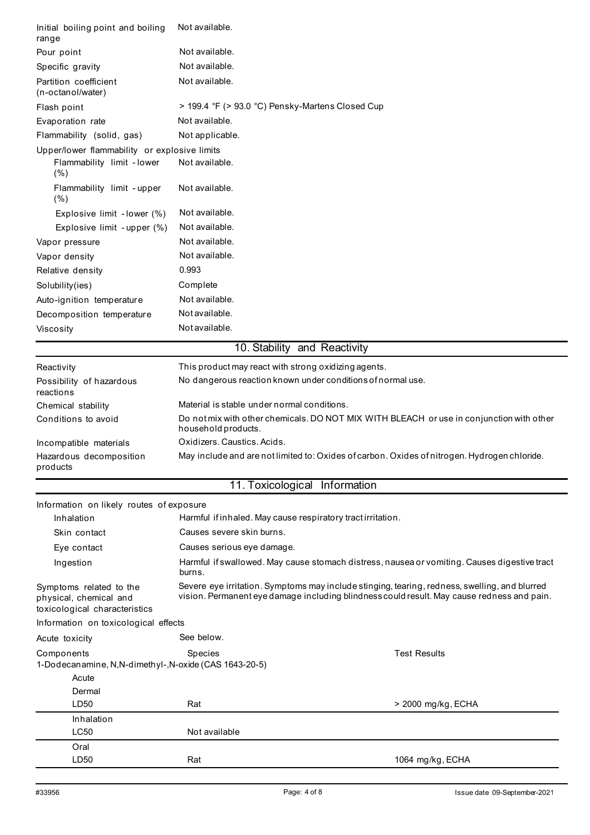| Initial boiling point and boiling<br>range                                         | Not available.                                                                                                                                                                              |                     |
|------------------------------------------------------------------------------------|---------------------------------------------------------------------------------------------------------------------------------------------------------------------------------------------|---------------------|
| Pour point                                                                         | Not available.                                                                                                                                                                              |                     |
| Specific gravity                                                                   | Not available.                                                                                                                                                                              |                     |
| Partition coefficient                                                              | Not available.                                                                                                                                                                              |                     |
| (n-octanol/water)                                                                  |                                                                                                                                                                                             |                     |
| Flash point                                                                        | > 199.4 °F (> 93.0 °C) Pensky-Martens Closed Cup                                                                                                                                            |                     |
| Evaporation rate                                                                   | Not available.                                                                                                                                                                              |                     |
| Flammability (solid, gas)                                                          | Not applicable.                                                                                                                                                                             |                     |
| Upper/lower flammability or explosive limits<br>Flammability limit - lower<br>(% ) | Not available.                                                                                                                                                                              |                     |
| Flammability limit - upper<br>(% )                                                 | Not available.                                                                                                                                                                              |                     |
| Explosive limit - lower (%)                                                        | Not available.                                                                                                                                                                              |                     |
| Explosive limit - upper (%)                                                        | Not available.                                                                                                                                                                              |                     |
| Vapor pressure                                                                     | Not available.                                                                                                                                                                              |                     |
| Vapor density                                                                      | Not available.                                                                                                                                                                              |                     |
| Relative density                                                                   | 0.993                                                                                                                                                                                       |                     |
| Solubility(ies)                                                                    | Complete                                                                                                                                                                                    |                     |
| Auto-ignition temperature                                                          | Not available.                                                                                                                                                                              |                     |
| Decomposition temperature                                                          | Not available.                                                                                                                                                                              |                     |
| Viscosity                                                                          | Not available.                                                                                                                                                                              |                     |
|                                                                                    | 10. Stability and Reactivity                                                                                                                                                                |                     |
| Reactivity                                                                         | This product may react with strong oxidizing agents.                                                                                                                                        |                     |
| Possibility of hazardous<br>reactions                                              | No dangerous reaction known under conditions of normal use.                                                                                                                                 |                     |
| Chemical stability                                                                 | Material is stable under normal conditions.                                                                                                                                                 |                     |
| Conditions to avoid                                                                | Do not mix with other chemicals. DO NOT MIX WITH BLEACH or use in conjunction with other<br>household products.                                                                             |                     |
| Incompatible materials                                                             | Oxidizers. Caustics. Acids.                                                                                                                                                                 |                     |
| Hazardous decomposition<br>products                                                | May include and are not limited to: Oxides of carbon. Oxides of nitrogen. Hydrogen chloride.                                                                                                |                     |
|                                                                                    | 11. Toxicological Information                                                                                                                                                               |                     |
| Information on likely routes of exposure                                           |                                                                                                                                                                                             |                     |
| Inhalation                                                                         | Harmful if inhaled. May cause respiratory tract irritation.                                                                                                                                 |                     |
| Skin contact                                                                       | Causes severe skin burns.                                                                                                                                                                   |                     |
| Eye contact                                                                        | Causes serious eye damage.                                                                                                                                                                  |                     |
| Ingestion                                                                          | Harmful if swallowed. May cause stomach distress, nausea or vomiting. Causes digestive tract<br>burns.                                                                                      |                     |
| Symptoms related to the<br>physical, chemical and<br>toxicological characteristics | Severe eye irritation. Symptoms may include stinging, tearing, redness, swelling, and blurred<br>vision. Permanent eye damage including blindness could result. May cause redness and pain. |                     |
| Information on toxicological effects                                               |                                                                                                                                                                                             |                     |
| Acute toxicity                                                                     | See below.                                                                                                                                                                                  |                     |
| Components<br>1-Dodecanamine, N,N-dimethyl-,N-oxide (CAS 1643-20-5)                | Species                                                                                                                                                                                     | <b>Test Results</b> |
| Acute                                                                              |                                                                                                                                                                                             |                     |
| Dermal                                                                             |                                                                                                                                                                                             |                     |
| LD <sub>50</sub>                                                                   | Rat                                                                                                                                                                                         | > 2000 mg/kg, ECHA  |
| Inhalation<br>LC50                                                                 | Not available                                                                                                                                                                               |                     |
| Oral                                                                               |                                                                                                                                                                                             |                     |
| LD50                                                                               | Rat                                                                                                                                                                                         | 1064 mg/kg, ECHA    |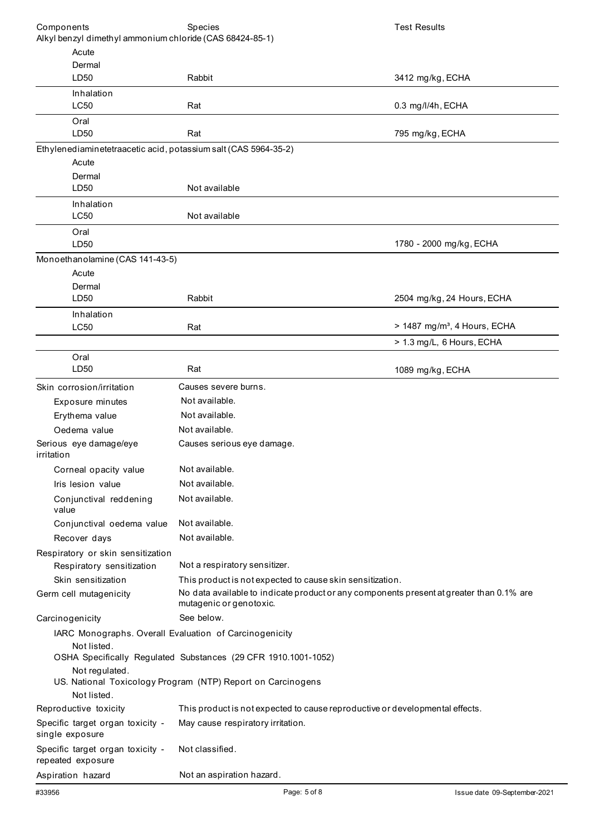| Components                                                            | Species                                                                                                             | <b>Test Results</b>                      |
|-----------------------------------------------------------------------|---------------------------------------------------------------------------------------------------------------------|------------------------------------------|
| Alkyl benzyl dimethyl ammonium chloride (CAS 68424-85-1)              |                                                                                                                     |                                          |
| Acute                                                                 |                                                                                                                     |                                          |
| Dermal                                                                |                                                                                                                     |                                          |
| LD <sub>50</sub>                                                      | Rabbit                                                                                                              | 3412 mg/kg, ECHA                         |
| Inhalation<br>LC50                                                    | Rat                                                                                                                 | 0.3 mg/l/4h, ECHA                        |
| Oral                                                                  |                                                                                                                     |                                          |
| LD50                                                                  | Rat                                                                                                                 | 795 mg/kg, ECHA                          |
| Ethylenediaminetetraacetic acid, potassium salt (CAS 5964-35-2)       |                                                                                                                     |                                          |
| Acute                                                                 |                                                                                                                     |                                          |
| Dermal                                                                |                                                                                                                     |                                          |
| LD50                                                                  | Not available                                                                                                       |                                          |
| Inhalation                                                            |                                                                                                                     |                                          |
| LC50                                                                  | Not available                                                                                                       |                                          |
| Oral<br>LD50                                                          |                                                                                                                     | 1780 - 2000 mg/kg, ECHA                  |
|                                                                       |                                                                                                                     |                                          |
| Monoethanolamine (CAS 141-43-5)<br>Acute                              |                                                                                                                     |                                          |
| Dermal                                                                |                                                                                                                     |                                          |
| LD50                                                                  | Rabbit                                                                                                              | 2504 mg/kg, 24 Hours, ECHA               |
| Inhalation                                                            |                                                                                                                     |                                          |
| LC50                                                                  | Rat                                                                                                                 | > 1487 mg/m <sup>3</sup> , 4 Hours, ECHA |
|                                                                       |                                                                                                                     | > 1.3 mg/L, 6 Hours, ECHA                |
| Oral                                                                  |                                                                                                                     |                                          |
| LD50                                                                  | Rat                                                                                                                 | 1089 mg/kg, ECHA                         |
| Skin corrosion/irritation                                             | Causes severe burns.                                                                                                |                                          |
| Exposure minutes                                                      | Not available.                                                                                                      |                                          |
| Erythema value                                                        | Not available.                                                                                                      |                                          |
| Oedema value                                                          | Not available.                                                                                                      |                                          |
| Serious eye damage/eye                                                | Causes serious eye damage.                                                                                          |                                          |
| irritation                                                            |                                                                                                                     |                                          |
| Corneal opacity value                                                 | Not available.                                                                                                      |                                          |
| Iris lesion value                                                     | Not available.                                                                                                      |                                          |
| Conjunctival reddening<br>value                                       | Not available.                                                                                                      |                                          |
| Conjunctival oedema value                                             | Not available.                                                                                                      |                                          |
| Recover days                                                          | Not available.                                                                                                      |                                          |
| Respiratory or skin sensitization                                     |                                                                                                                     |                                          |
| Respiratory sensitization                                             | Not a respiratory sensitizer.                                                                                       |                                          |
| Skin sensitization                                                    | This product is not expected to cause skin sensitization.                                                           |                                          |
| Germ cell mutagenicity                                                | No data available to indicate product or any components present at greater than 0.1% are<br>mutagenic or genotoxic. |                                          |
| Carcinogenicity                                                       | See below.                                                                                                          |                                          |
| IARC Monographs. Overall Evaluation of Carcinogenicity<br>Not listed. |                                                                                                                     |                                          |
|                                                                       | OSHA Specifically Regulated Substances (29 CFR 1910.1001-1052)                                                      |                                          |
| Not regulated.<br>Not listed.                                         | US. National Toxicology Program (NTP) Report on Carcinogens                                                         |                                          |
| Reproductive toxicity                                                 | This product is not expected to cause reproductive or developmental effects.                                        |                                          |
| Specific target organ toxicity -<br>single exposure                   | May cause respiratory irritation.                                                                                   |                                          |
| Specific target organ toxicity -<br>repeated exposure                 | Not classified.                                                                                                     |                                          |
| Aspiration hazard                                                     | Not an aspiration hazard.                                                                                           |                                          |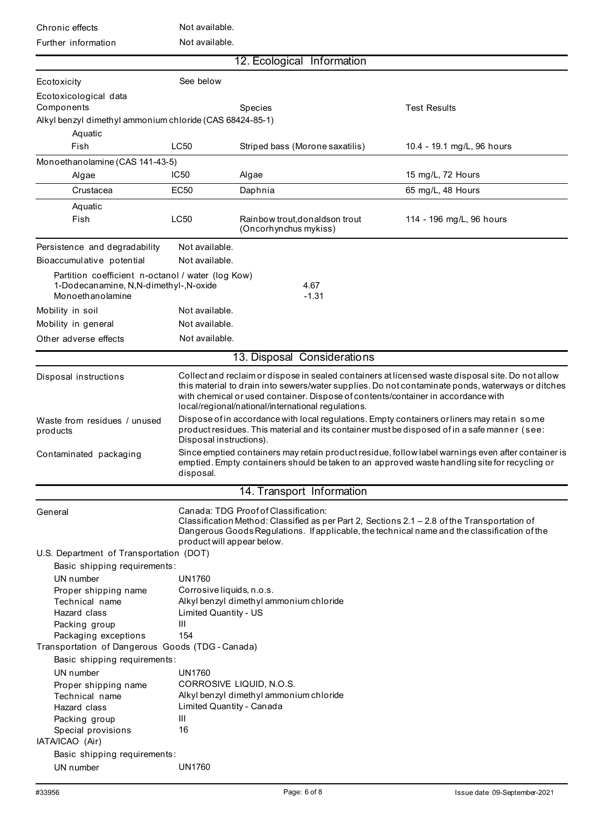| Chronic effects      | Not available. |
|----------------------|----------------|
| Eurth or information | Not available  |

Not available

| Further information                                       | NOT AVAIIADIE.                                                       |                                                                                                                                                                                                                                |                                                                                                                                                                                                        |  |
|-----------------------------------------------------------|----------------------------------------------------------------------|--------------------------------------------------------------------------------------------------------------------------------------------------------------------------------------------------------------------------------|--------------------------------------------------------------------------------------------------------------------------------------------------------------------------------------------------------|--|
|                                                           |                                                                      | 12. Ecological Information                                                                                                                                                                                                     |                                                                                                                                                                                                        |  |
| Ecotoxicity                                               | See below                                                            |                                                                                                                                                                                                                                |                                                                                                                                                                                                        |  |
| Ecotoxicological data                                     |                                                                      |                                                                                                                                                                                                                                |                                                                                                                                                                                                        |  |
| Components                                                |                                                                      | <b>Species</b>                                                                                                                                                                                                                 | <b>Test Results</b>                                                                                                                                                                                    |  |
| Alkyl benzyl dimethyl ammonium chloride (CAS 68424-85-1)  |                                                                      |                                                                                                                                                                                                                                |                                                                                                                                                                                                        |  |
| Aquatic                                                   |                                                                      |                                                                                                                                                                                                                                |                                                                                                                                                                                                        |  |
| Fish                                                      | LC50                                                                 | Striped bass (Morone saxatilis)                                                                                                                                                                                                | 10.4 - 19.1 mg/L, 96 hours                                                                                                                                                                             |  |
| Monoethanolamine (CAS 141-43-5)                           |                                                                      |                                                                                                                                                                                                                                |                                                                                                                                                                                                        |  |
| Algae                                                     | <b>IC50</b>                                                          | Algae                                                                                                                                                                                                                          | 15 mg/L, 72 Hours                                                                                                                                                                                      |  |
| Crustacea                                                 | <b>EC50</b>                                                          | Daphnia                                                                                                                                                                                                                        | 65 mg/L, 48 Hours                                                                                                                                                                                      |  |
| Aquatic                                                   |                                                                      |                                                                                                                                                                                                                                |                                                                                                                                                                                                        |  |
| Fish                                                      | LC50                                                                 | Rainbow trout, donaldson trout<br>(Oncorhynchus mykiss)                                                                                                                                                                        | 114 - 196 mg/L, 96 hours                                                                                                                                                                               |  |
| Persistence and degradability                             | Not available.                                                       |                                                                                                                                                                                                                                |                                                                                                                                                                                                        |  |
| Bioaccumulative potential                                 | Not available.                                                       |                                                                                                                                                                                                                                |                                                                                                                                                                                                        |  |
| Partition coefficient n-octanol / water (log Kow)         |                                                                      |                                                                                                                                                                                                                                |                                                                                                                                                                                                        |  |
| 1-Dodecanamine, N,N-dimethyl-,N-oxide<br>Monoethanolamine |                                                                      | 4.67<br>$-1.31$                                                                                                                                                                                                                |                                                                                                                                                                                                        |  |
| Mobility in soil                                          | Not available.                                                       |                                                                                                                                                                                                                                |                                                                                                                                                                                                        |  |
| Mobility in general                                       | Not available.                                                       |                                                                                                                                                                                                                                |                                                                                                                                                                                                        |  |
| Other adverse effects                                     | Not available.                                                       |                                                                                                                                                                                                                                |                                                                                                                                                                                                        |  |
|                                                           |                                                                      | 13. Disposal Considerations                                                                                                                                                                                                    |                                                                                                                                                                                                        |  |
| Disposal instructions                                     |                                                                      | with chemical or used container. Dispose of contents/container in accordance with<br>local/regional/national/international regulations.                                                                                        | Collect and reclaim or dispose in sealed containers at licensed waste disposal site. Do not allow<br>this material to drain into sewers/water supplies. Do not contaminate ponds, waterways or ditches |  |
| Waste from residues / unused<br>products                  |                                                                      | Dispose of in accordance with local regulations. Empty containers or liners may retain some<br>product residues. This material and its container must be disposed of in a safe manner (see:                                    |                                                                                                                                                                                                        |  |
| Contaminated packaging                                    | disposal.                                                            | Disposal instructions).<br>Since emptied containers may retain product residue, follow label warnings even after container is<br>emptied. Empty containers should be taken to an approved waste handling site for recycling or |                                                                                                                                                                                                        |  |
|                                                           |                                                                      | 14. Transport Information                                                                                                                                                                                                      |                                                                                                                                                                                                        |  |
| General                                                   |                                                                      | Canada: TDG Proof of Classification:                                                                                                                                                                                           |                                                                                                                                                                                                        |  |
|                                                           | product will appear below.                                           | Classification Method: Classified as per Part 2, Sections 2.1 - 2.8 of the Transportation of                                                                                                                                   | Dangerous Goods Regulations. If applicable, the technical name and the classification of the                                                                                                           |  |
| U.S. Department of Transportation (DOT)                   |                                                                      |                                                                                                                                                                                                                                |                                                                                                                                                                                                        |  |
| Basic shipping requirements:                              |                                                                      |                                                                                                                                                                                                                                |                                                                                                                                                                                                        |  |
| UN number                                                 | <b>UN1760</b>                                                        |                                                                                                                                                                                                                                |                                                                                                                                                                                                        |  |
| Proper shipping name<br>Technical name                    | Corrosive liquids, n.o.s.<br>Alkyl benzyl dimethyl ammonium chloride |                                                                                                                                                                                                                                |                                                                                                                                                                                                        |  |
| Hazard class                                              | Limited Quantity - US                                                |                                                                                                                                                                                                                                |                                                                                                                                                                                                        |  |
| Packing group                                             | Ш                                                                    |                                                                                                                                                                                                                                |                                                                                                                                                                                                        |  |
| Packaging exceptions                                      | 154                                                                  |                                                                                                                                                                                                                                |                                                                                                                                                                                                        |  |
| Transportation of Dangerous Goods (TDG - Canada)          |                                                                      |                                                                                                                                                                                                                                |                                                                                                                                                                                                        |  |
| Basic shipping requirements:                              |                                                                      |                                                                                                                                                                                                                                |                                                                                                                                                                                                        |  |
| UN number                                                 | <b>UN1760</b>                                                        |                                                                                                                                                                                                                                |                                                                                                                                                                                                        |  |
| Proper shipping name<br>Technical name                    |                                                                      | CORROSIVE LIQUID, N.O.S.<br>Alkyl benzyl dimethyl ammonium chloride                                                                                                                                                            |                                                                                                                                                                                                        |  |
| Hazard class                                              | Limited Quantity - Canada                                            |                                                                                                                                                                                                                                |                                                                                                                                                                                                        |  |
| Packing group                                             | Ш                                                                    |                                                                                                                                                                                                                                |                                                                                                                                                                                                        |  |
| Special provisions<br>IATA/ICAO (Air)                     | 16                                                                   |                                                                                                                                                                                                                                |                                                                                                                                                                                                        |  |
| Basic shipping requirements:                              |                                                                      |                                                                                                                                                                                                                                |                                                                                                                                                                                                        |  |
| UN number                                                 | <b>UN1760</b>                                                        |                                                                                                                                                                                                                                |                                                                                                                                                                                                        |  |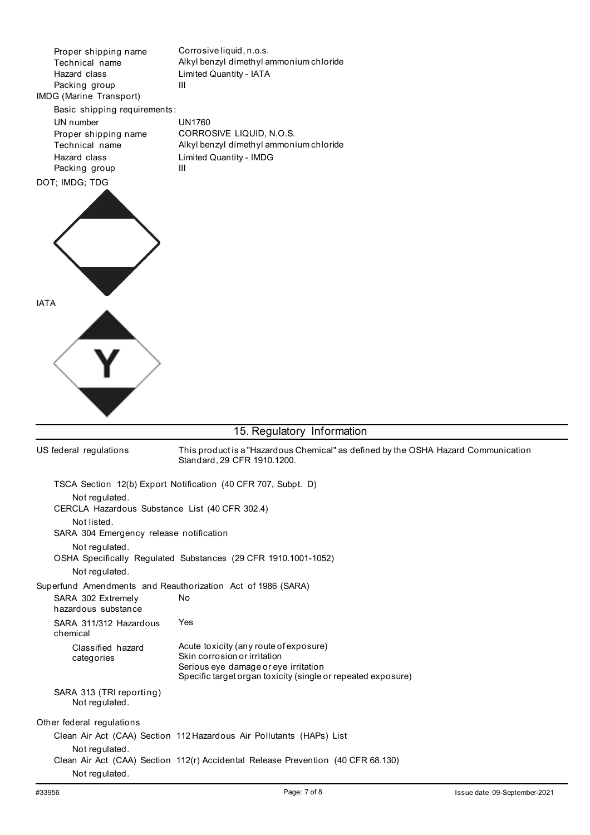Proper shipping name Technical name Hazard class Packing group IMDG (Marine Transport) Corrosive liquid, n.o.s. Alkyl benzyl dimethyl ammonium chloride Limited Quantity - IATA III Basic shipping requirements: UN number Proper shipping name Technical name Hazard class Packing group DOT; IMDG; TDG UN1760 CORROSIVE LIQUID, N.O.S. Alkyl benzyl dimethyl ammonium chloride Limited Quantity - IMDG III



# 15. Regulatory Information

| US federal regulations                                      | This product is a "Hazardous Chemical" as defined by the OSHA Hazard Communication<br>Standard, 29 CFR 1910.1200. |
|-------------------------------------------------------------|-------------------------------------------------------------------------------------------------------------------|
|                                                             | TSCA Section 12(b) Export Notification (40 CFR 707, Subpt. D)                                                     |
| Not regulated.                                              |                                                                                                                   |
| CERCLA Hazardous Substance List (40 CFR 302.4)              |                                                                                                                   |
| Not listed.                                                 |                                                                                                                   |
| SARA 304 Emergency release notification                     |                                                                                                                   |
| Not regulated.                                              |                                                                                                                   |
|                                                             | OSHA Specifically Regulated Substances (29 CFR 1910.1001-1052)                                                    |
| Not regulated.                                              |                                                                                                                   |
| Superfund Amendments and Reauthorization Act of 1986 (SARA) |                                                                                                                   |
| SARA 302 Extremely<br>hazardous substance                   | No                                                                                                                |
| SARA 311/312 Hazardous<br>chemical                          | Yes                                                                                                               |
| Classified hazard                                           | Acute toxicity (any route of exposure)                                                                            |
| categories                                                  | Skin corrosion or irritation                                                                                      |
|                                                             | Serious eye damage or eye irritation<br>Specific target organ toxicity (single or repeated exposure)              |
| SARA 313 (TRI reporting)<br>Not regulated.                  |                                                                                                                   |
| Other federal regulations                                   |                                                                                                                   |
|                                                             | Clean Air Act (CAA) Section 112 Hazardous Air Pollutants (HAPs) List                                              |
| Not regulated.                                              |                                                                                                                   |
|                                                             | Clean Air Act (CAA) Section 112(r) Accidental Release Prevention (40 CFR 68.130)                                  |
| Not regulated.                                              |                                                                                                                   |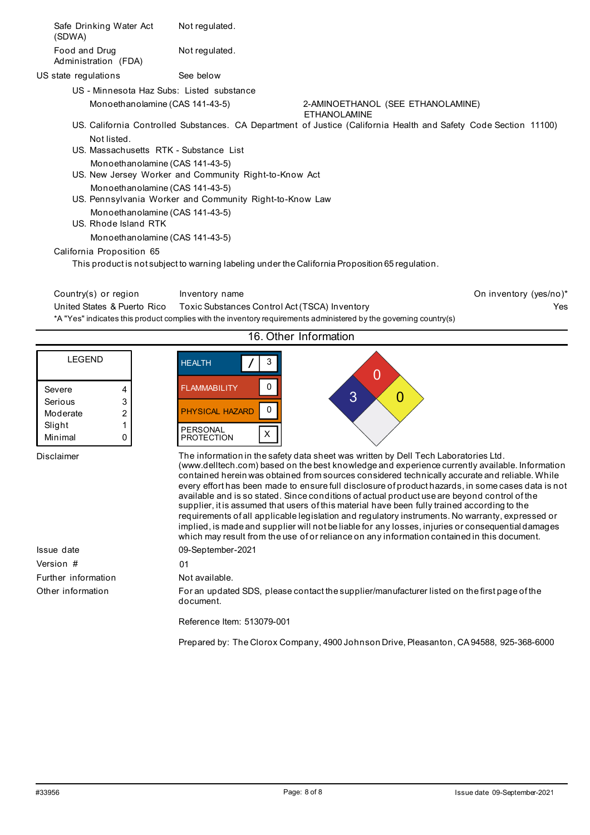| Safe Drinking Water Act<br>(SDWA)                                                          | Not regulated.                                        |                                                                                                                   |                        |
|--------------------------------------------------------------------------------------------|-------------------------------------------------------|-------------------------------------------------------------------------------------------------------------------|------------------------|
| Food and Drug<br>Administration (FDA)                                                      | Not regulated.                                        |                                                                                                                   |                        |
| US state regulations                                                                       | See below                                             |                                                                                                                   |                        |
| US - Minnesota Haz Subs: Listed substance                                                  |                                                       |                                                                                                                   |                        |
| Monoethanolamine (CAS 141-43-5)                                                            |                                                       | 2-AMINOETHANOL (SEE ETHANOLAMINE)<br><b>ETHANOLAMINE</b>                                                          |                        |
| Not listed.                                                                                |                                                       | US. California Controlled Substances. CA Department of Justice (California Health and Safety Code Section 11100)  |                        |
| U.S. Massachusetts RTK - Substance List                                                    |                                                       |                                                                                                                   |                        |
| Monoethanolamine (CAS 141-43-5)                                                            | US. New Jersey Worker and Community Right-to-Know Act |                                                                                                                   |                        |
| Monoethanolamine (CAS 141-43-5)<br>US. Pennsylvania Worker and Community Right-to-Know Law |                                                       |                                                                                                                   |                        |
| Monoethanolamine (CAS 141-43-5)<br>US. Rhode Island RTK                                    |                                                       |                                                                                                                   |                        |
| Monoethanolamine (CAS 141-43-5)                                                            |                                                       |                                                                                                                   |                        |
| California Proposition 65                                                                  |                                                       |                                                                                                                   |                        |
|                                                                                            |                                                       | This product is not subject to warning labeling under the California Proposition 65 regulation.                   |                        |
| Country(s) or region                                                                       | Inventory name                                        |                                                                                                                   | On inventory (yes/no)* |
| United States & Puerto Rico                                                                | Toxic Substances Control Act (TSCA) Inventory         |                                                                                                                   | Yes                    |
|                                                                                            |                                                       | *A "Yes" indicates this product complies with the inventory requirements administered by the governing country(s) |                        |
|                                                                                            |                                                       | 16. Other Information                                                                                             |                        |
|                                                                                            |                                                       |                                                                                                                   |                        |

| LEGEND   |   |
|----------|---|
|          |   |
|          |   |
| Severe   | 4 |
| Serious  | 3 |
| Moderate | 2 |
| Slight   | 1 |
| Minimal  | ٢ |



Disclaimer

Issue date Version # 01 Further information Other information

#### The information in the safety data sheet was written by Dell Tech Laboratories Ltd. (www.delltech.com) based on the best knowledge and experience currently available. Information contained herein was obtained from sources considered technically accurate and reliable. While every effort has been made to ensure full disclosure of product hazards, in some cases data is not available and is so stated. Since conditions of actual product use are beyond control of the supplier, it is assumed that users of this material have been fully trained according to the requirements of all applicable legislation and regulatory instruments. No warranty, expressed or implied, is made and supplier will not be liable for any losses, injuries or consequential damages which may result from the use of or reliance on any information contained in this document. 09-September-2021

 $\Omega$ 

 $3 \times 0$ 

Not available.

For an updated SDS, please contact the supplier/manufacturer listed on the first page of the document.

Reference Item: 513079-001

Prepared by: The Clorox Company, 4900 Johnson Drive, Pleasanton, CA94588, 925-368-6000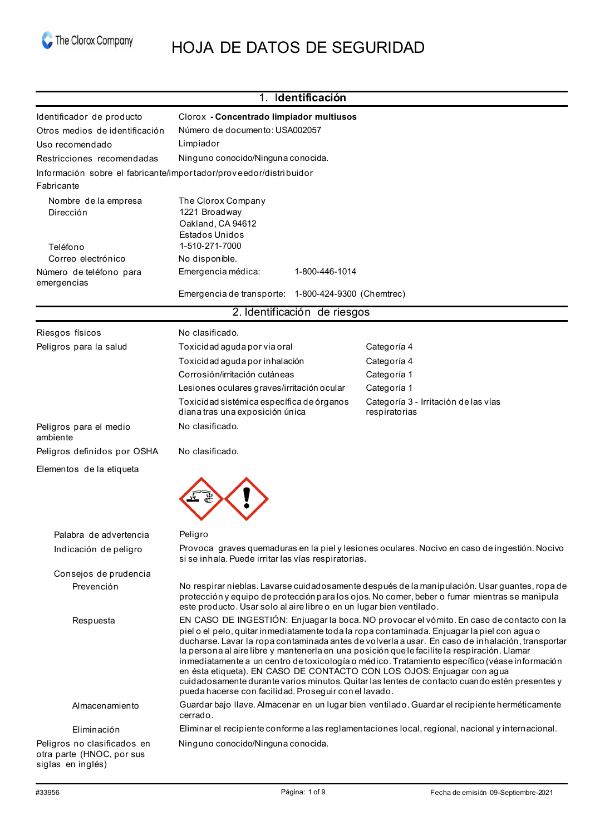

# HOJA DE DATOS DE SEGURIDAD

|                                                                               | 1. Identificación                                                                                                                                                                                                                                                                                                                                                                                                                                                                                                                                                                                                                                                                                                                 |                                                                                                   |  |
|-------------------------------------------------------------------------------|-----------------------------------------------------------------------------------------------------------------------------------------------------------------------------------------------------------------------------------------------------------------------------------------------------------------------------------------------------------------------------------------------------------------------------------------------------------------------------------------------------------------------------------------------------------------------------------------------------------------------------------------------------------------------------------------------------------------------------------|---------------------------------------------------------------------------------------------------|--|
| Identificador de producto                                                     | Clorox - Concentrado limpiador multiusos                                                                                                                                                                                                                                                                                                                                                                                                                                                                                                                                                                                                                                                                                          |                                                                                                   |  |
| Otros medios de identificación                                                | Número de documento: USA002057                                                                                                                                                                                                                                                                                                                                                                                                                                                                                                                                                                                                                                                                                                    |                                                                                                   |  |
| Uso recomendado                                                               | Limpiador                                                                                                                                                                                                                                                                                                                                                                                                                                                                                                                                                                                                                                                                                                                         |                                                                                                   |  |
| Restricciones recomendadas                                                    | Ninguno conocido/Ninguna conocida.                                                                                                                                                                                                                                                                                                                                                                                                                                                                                                                                                                                                                                                                                                |                                                                                                   |  |
|                                                                               | Información sobre el fabricante/importador/proveedor/distribuidor                                                                                                                                                                                                                                                                                                                                                                                                                                                                                                                                                                                                                                                                 |                                                                                                   |  |
| Fabricante                                                                    |                                                                                                                                                                                                                                                                                                                                                                                                                                                                                                                                                                                                                                                                                                                                   |                                                                                                   |  |
| Nombre de la empresa                                                          | The Clorox Company                                                                                                                                                                                                                                                                                                                                                                                                                                                                                                                                                                                                                                                                                                                |                                                                                                   |  |
| Dirección                                                                     | 1221 Broadway<br>Oakland, CA 94612                                                                                                                                                                                                                                                                                                                                                                                                                                                                                                                                                                                                                                                                                                |                                                                                                   |  |
|                                                                               | Estados Unidos                                                                                                                                                                                                                                                                                                                                                                                                                                                                                                                                                                                                                                                                                                                    |                                                                                                   |  |
| Teléfono                                                                      | 1-510-271-7000                                                                                                                                                                                                                                                                                                                                                                                                                                                                                                                                                                                                                                                                                                                    |                                                                                                   |  |
| Correo electrónico                                                            | No disponible.                                                                                                                                                                                                                                                                                                                                                                                                                                                                                                                                                                                                                                                                                                                    |                                                                                                   |  |
| Número de teléfono para<br>emergencias                                        | Emergencia médica:<br>1-800-446-1014                                                                                                                                                                                                                                                                                                                                                                                                                                                                                                                                                                                                                                                                                              |                                                                                                   |  |
|                                                                               | Emergencia de transporte: 1-800-424-9300 (Chemtrec)                                                                                                                                                                                                                                                                                                                                                                                                                                                                                                                                                                                                                                                                               |                                                                                                   |  |
|                                                                               | 2. Identificación de riesgos                                                                                                                                                                                                                                                                                                                                                                                                                                                                                                                                                                                                                                                                                                      |                                                                                                   |  |
| Riesgos físicos                                                               | No clasificado.                                                                                                                                                                                                                                                                                                                                                                                                                                                                                                                                                                                                                                                                                                                   |                                                                                                   |  |
| Peligros para la salud                                                        | Toxicidad aguda por via oral                                                                                                                                                                                                                                                                                                                                                                                                                                                                                                                                                                                                                                                                                                      | Categoría 4                                                                                       |  |
|                                                                               | Toxicidad aguda por inhalación                                                                                                                                                                                                                                                                                                                                                                                                                                                                                                                                                                                                                                                                                                    | Categoría 4                                                                                       |  |
|                                                                               | Corrosión/irritación cutáneas                                                                                                                                                                                                                                                                                                                                                                                                                                                                                                                                                                                                                                                                                                     | Categoría 1                                                                                       |  |
|                                                                               | Lesiones oculares graves/irritación ocular                                                                                                                                                                                                                                                                                                                                                                                                                                                                                                                                                                                                                                                                                        | Categoría 1                                                                                       |  |
|                                                                               | Toxicidad sistémica específica de órganos<br>diana tras una exposición única                                                                                                                                                                                                                                                                                                                                                                                                                                                                                                                                                                                                                                                      | Categoría 3 - Irritación de las vías<br>respiratorias                                             |  |
| Peligros para el medio<br>ambiente                                            | No clasificado.                                                                                                                                                                                                                                                                                                                                                                                                                                                                                                                                                                                                                                                                                                                   |                                                                                                   |  |
| Peligros definidos por OSHA                                                   | No clasificado.                                                                                                                                                                                                                                                                                                                                                                                                                                                                                                                                                                                                                                                                                                                   |                                                                                                   |  |
| Elementos de la etiqueta                                                      |                                                                                                                                                                                                                                                                                                                                                                                                                                                                                                                                                                                                                                                                                                                                   |                                                                                                   |  |
| Palabra, de advertencia                                                       | Peliaro                                                                                                                                                                                                                                                                                                                                                                                                                                                                                                                                                                                                                                                                                                                           |                                                                                                   |  |
| Indicación de peligro                                                         | si se inhala. Puede irritar las vías respiratorias.                                                                                                                                                                                                                                                                                                                                                                                                                                                                                                                                                                                                                                                                               | Provoca graves quemaduras en la piel y lesiones oculares. Nocivo en caso de ingestión. Nocivo     |  |
| Consejos de prudencia                                                         |                                                                                                                                                                                                                                                                                                                                                                                                                                                                                                                                                                                                                                                                                                                                   |                                                                                                   |  |
| Prevención                                                                    | No respirar nieblas. Lavarse cuidadosamente después de la manipulación. Usar guantes, ropa de<br>protección y equipo de protección para los ojos. No comer, beber o fumar mientras se manipula<br>este producto. Usar solo al aire libre o en un lugar bien ventilado.                                                                                                                                                                                                                                                                                                                                                                                                                                                            |                                                                                                   |  |
| Respuesta                                                                     | EN CASO DE INGESTIÓN: Enjuagar la boca. NO provocar el vómito. En caso de contacto con la<br>piel o el pelo, quitar inmediatamente toda la ropa contaminada. Enjuagar la piel con agua o<br>ducharse. Lavar la ropa contaminada antes de volverla a usar. En caso de inhalación, transportar<br>la persona al aire libre y mantenerla en una posición que le facilite la respiración. Llamar<br>inmediatamente a un centro de toxicología o médico. Tratamiento específico (véase información<br>en ésta etiqueta). EN CASO DE CONTACTO CON LOS OJOS: Enjuagar con agua<br>cuidadosamente durante varios minutos. Quitar las lentes de contacto cuando estén presentes y<br>pueda hacerse con facilidad. Proseguir con el lavado. |                                                                                                   |  |
| Almacenamiento                                                                | Guardar bajo llave. Almacenar en un lugar bien ventilado. Guardar el recipiente herméticamente<br>cerrado.                                                                                                                                                                                                                                                                                                                                                                                                                                                                                                                                                                                                                        |                                                                                                   |  |
| Eliminación                                                                   |                                                                                                                                                                                                                                                                                                                                                                                                                                                                                                                                                                                                                                                                                                                                   | Eliminar el recipiente conforme a las reglamentaciones local, regional, nacional y internacional. |  |
| Peligros no clasificados en<br>otra parte (HNOC, por sus<br>siglas en inglés) | Ninguno conocido/Ninguna conocida.                                                                                                                                                                                                                                                                                                                                                                                                                                                                                                                                                                                                                                                                                                |                                                                                                   |  |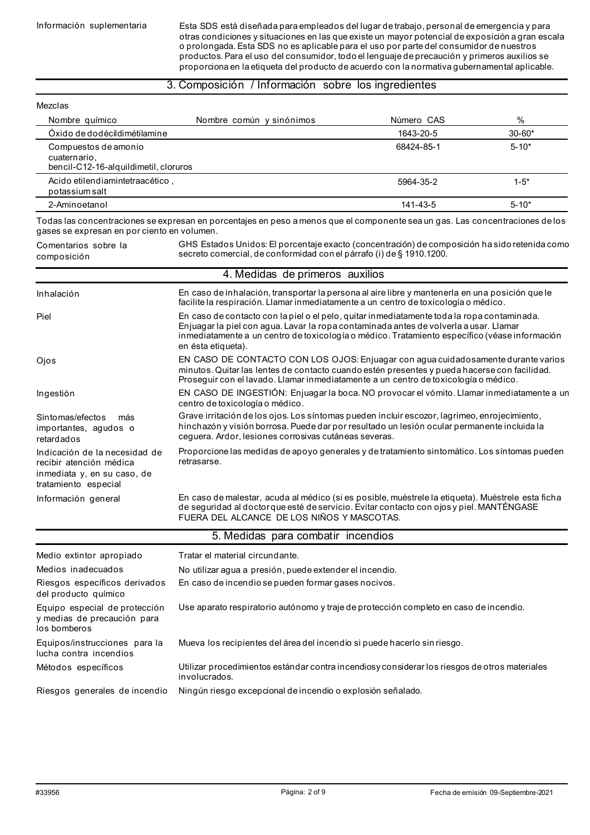Información suplementaria Esta SDS está diseñada para empleados del lugar de trabajo, personal de emergencia y para otras condiciones y situaciones en las que existe un mayor potencial de exposición a gran escala o prolongada. Esta SDS no es aplicable para el uso por parte del consumidor de nuestros productos. Para el uso del consumidor, todo el lenguaje de precaución y primeros auxilios se proporciona en la etiqueta del producto de acuerdo con la normativa gubernamental aplicable.

### 3. Composición / Información sobre los ingredientes

#### Mezclas Nombre químico  $\sim$  Nombre común y sinónimos  $\sim$  Número CAS  $\sim$  % Óxido de dodécildimétilamine Compuestos de amonio cuaternario, bencil-C12-16-alquildimetil, cloruros Acido etilendiamintetraacético , potassium salt 2-Aminoetanol 1643-20-5 68424-85-1 5964-35-2 141-43-5 30-60\* 5-10\* 1-5\* 5-10\* Todas las concentraciones se expresan en porcentajes en peso a menos que el componente sea un gas. Las concentraciones de los gases se expresan en por ciento en volumen. Comentarios sobre la composición Inhalación Piel Ojos Ingestión Síntomas/efectos más importantes, agudos o retardados Indicación de la necesidad de recibir atención médica inmediata y, en su caso, de tratamiento especial Información general Medio extintor apropiado Medios inadecuados Riesgos específicos derivados del producto químico Equipo especial de protección y medias de precaución para los bomberos Equipos/instrucciones para la GHS Estados Unidos: El porcentaje exacto (concentración) de composición ha sido retenida como secreto comercial, de conformidad con el párrafo (i) de § 1910.1200. 4. Medidas de primeros auxilios En caso de inhalación, transportar la persona al aire libre y mantenerla en una posición que le facilite la respiración. Llamar inmediatamente a un centro de toxicología o médico. En caso de contacto con la piel o el pelo, quitar inmediatamente toda la ropa contaminada. Enjuagar la piel con agua. Lavar la ropa contaminada antes de volverla a usar. Llamar inmediatamente a un centro de toxicología o médico. Tratamiento específico (véase información en ésta etiqueta). EN CASO DE CONTACTO CON LOS OJOS: Enjuagar con agua cuidadosamente durante varios minutos. Quitar las lentes de contacto cuando estén presentes y pueda hacerse con facilidad. Proseguir con el lavado. Llamar inmediatamente a un centro de toxicología o médico. EN CASO DE INGESTIÓN: Enjuagar la boca. NO provocar el vómito. Llamar inmediatamente a un centro de toxicología o médico. Grave irritación de los ojos. Los síntomas pueden incluir escozor, lagrimeo, enrojecimiento, hinchazón y visión borrosa. Puede dar por resultado un lesión ocular permanente incluida la ceguera. Ardor, lesiones corrosivas cutáneas severas. Proporcione las medidas de apoyo generales y de tratamiento sintomático. Los síntomas pueden retrasarse. En caso de malestar, acuda al médico (si es posible, muéstrele la etiqueta). Muéstrele esta ficha de seguridad al doctorque esté de servicio. Evitar contacto con ojos y piel. MANTÉNGASE FUERA DEL ALCANCE DE LOS NIÑOS Y MASCOTAS. 5. Medidas para combatir incendios Tratar el material circundante. No utilizar agua a presión, puede extender el incendio. En caso de incendio se pueden formar gases nocivos. Use aparato respiratorio autónomo y traje de protección completo en caso de incendio. Mueva los recipientes del área del incendio si puede hacerlo sin riesgo.

Riesgos generales de incendio Ningún riesgo excepcional de incendio o explosión señalado.

involucrados.

lucha contra incendios Métodos específicos

Utilizar procedimientos estándar contra incendiosy considerar los riesgos de otros materiales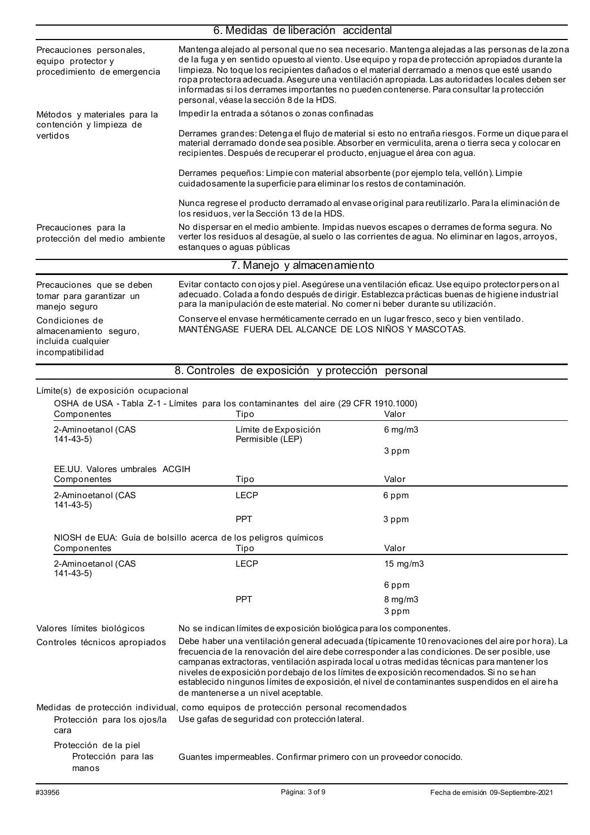|                                                                                    | 6. Medidas de liberación accidental                                                                                                                                                                                                                                                                                                                                                                                                                                                                                                        |                                                                                                                                                                                                                                                                                                                                                                                                    |  |
|------------------------------------------------------------------------------------|--------------------------------------------------------------------------------------------------------------------------------------------------------------------------------------------------------------------------------------------------------------------------------------------------------------------------------------------------------------------------------------------------------------------------------------------------------------------------------------------------------------------------------------------|----------------------------------------------------------------------------------------------------------------------------------------------------------------------------------------------------------------------------------------------------------------------------------------------------------------------------------------------------------------------------------------------------|--|
| Precauciones personales,<br>equipo protector y<br>procedimiento de emergencia      | Mantenga alejado al personal que no sea necesario. Mantenga alejadas a las personas de la zona<br>de la fuga y en sentido opuesto al viento. Use equipo y ropa de protección apropiados durante la<br>limpieza. No toque los recipientes dañados o el material derramado a menos que esté usando<br>ropa protectora adecuada. Asegure una ventilación apropiada. Las autoridades locales deben ser<br>informadas si los derrames importantes no pueden contenerse. Para consultar la protección<br>personal, véase la sección 8 de la HDS. |                                                                                                                                                                                                                                                                                                                                                                                                    |  |
| Métodos y materiales para la                                                       | Impedir la entrada a sótanos o zonas confinadas                                                                                                                                                                                                                                                                                                                                                                                                                                                                                            |                                                                                                                                                                                                                                                                                                                                                                                                    |  |
| contención y limpieza de<br>vertidos                                               | Derrames grandes: Detenga el flujo de material si esto no entraña riesgos. Forme un dique para el<br>material derramado donde sea posible. Absorber en vermiculita, arena o tierra seca y colocar en<br>recipientes. Después de recuperar el producto, enjuague el área con agua.                                                                                                                                                                                                                                                          |                                                                                                                                                                                                                                                                                                                                                                                                    |  |
|                                                                                    | Derrames pequeños: Limpie con material absorbente (por ejemplo tela, vellón). Limpie<br>cuidadosamente la superficie para eliminar los restos de contaminación.                                                                                                                                                                                                                                                                                                                                                                            |                                                                                                                                                                                                                                                                                                                                                                                                    |  |
|                                                                                    | los residuos, ver la Sección 13 de la HDS.                                                                                                                                                                                                                                                                                                                                                                                                                                                                                                 | Nunca regrese el producto derramado al envase original para reutilizarlo. Para la eliminación de                                                                                                                                                                                                                                                                                                   |  |
| Precauciones para la<br>protección del medio ambiente                              | estanques o aguas públicas                                                                                                                                                                                                                                                                                                                                                                                                                                                                                                                 | No dispersar en el medio ambiente. Impidas nuevos escapes o derrames de forma segura. No<br>verter los residuos al desagüe, al suelo o las corrientes de agua. No eliminar en lagos, arroyos,                                                                                                                                                                                                      |  |
|                                                                                    | 7. Manejo y almacenamiento                                                                                                                                                                                                                                                                                                                                                                                                                                                                                                                 |                                                                                                                                                                                                                                                                                                                                                                                                    |  |
| Precauciones que se deben<br>tomar para garantizar un<br>manejo seguro             | para la manipulación de este material. No comer ni beber durante su utilización.                                                                                                                                                                                                                                                                                                                                                                                                                                                           | Evitar contacto con ojos y piel. Asegúrese una ventilación eficaz. Use equipo protector person al<br>adecuado. Colada a fondo después de dirigir. Establezca prácticas buenas de higiene industrial                                                                                                                                                                                                |  |
| Condiciones de<br>almacenamiento seguro,<br>incluida cualquier<br>incompatibilidad | Conserve el envase herméticamente cerrado en un lugar fresco, seco y bien ventilado.<br>MANTÉNGASE FUERA DEL ALCANCE DE LOS NIÑOS Y MASCOTAS.                                                                                                                                                                                                                                                                                                                                                                                              |                                                                                                                                                                                                                                                                                                                                                                                                    |  |
|                                                                                    | 8. Controles de exposición y protección personal                                                                                                                                                                                                                                                                                                                                                                                                                                                                                           |                                                                                                                                                                                                                                                                                                                                                                                                    |  |
| Límite(s) de exposición ocupacional                                                | OSHA de USA - Tabla Z-1 - Límites para los contaminantes del aire (29 CFR 1910.1000)                                                                                                                                                                                                                                                                                                                                                                                                                                                       | Valor                                                                                                                                                                                                                                                                                                                                                                                              |  |
| Componentes<br>2-Aminoetanol (CAS                                                  | Tipo<br>Límite de Exposición                                                                                                                                                                                                                                                                                                                                                                                                                                                                                                               | $6 \,\mathrm{mg/m3}$                                                                                                                                                                                                                                                                                                                                                                               |  |
| $141 - 43 - 5$                                                                     | Permisible (LEP)                                                                                                                                                                                                                                                                                                                                                                                                                                                                                                                           | 3 ppm                                                                                                                                                                                                                                                                                                                                                                                              |  |
| EE.UU. Valores umbrales ACGIH                                                      |                                                                                                                                                                                                                                                                                                                                                                                                                                                                                                                                            |                                                                                                                                                                                                                                                                                                                                                                                                    |  |
| Componentes                                                                        | Tipo                                                                                                                                                                                                                                                                                                                                                                                                                                                                                                                                       | Valor                                                                                                                                                                                                                                                                                                                                                                                              |  |
| 2-Aminoetanol (CAS<br>$141 - 43 - 5$                                               | <b>LECP</b>                                                                                                                                                                                                                                                                                                                                                                                                                                                                                                                                | 6 ppm                                                                                                                                                                                                                                                                                                                                                                                              |  |
|                                                                                    | <b>PPT</b>                                                                                                                                                                                                                                                                                                                                                                                                                                                                                                                                 | 3 ppm                                                                                                                                                                                                                                                                                                                                                                                              |  |
| Componentes                                                                        | NIOSH de EUA: Guía de bolsillo acerca de los peligros químicos<br>Tipo                                                                                                                                                                                                                                                                                                                                                                                                                                                                     | Valor                                                                                                                                                                                                                                                                                                                                                                                              |  |
| 2-Aminoetanol (CAS                                                                 | <b>LECP</b>                                                                                                                                                                                                                                                                                                                                                                                                                                                                                                                                | 15 mg/m3                                                                                                                                                                                                                                                                                                                                                                                           |  |
| $141 - 43 - 5$                                                                     |                                                                                                                                                                                                                                                                                                                                                                                                                                                                                                                                            |                                                                                                                                                                                                                                                                                                                                                                                                    |  |
|                                                                                    | <b>PPT</b>                                                                                                                                                                                                                                                                                                                                                                                                                                                                                                                                 | 6 ppm<br>8 mg/m3                                                                                                                                                                                                                                                                                                                                                                                   |  |
|                                                                                    |                                                                                                                                                                                                                                                                                                                                                                                                                                                                                                                                            | 3 ppm                                                                                                                                                                                                                                                                                                                                                                                              |  |
| Valores límites biológicos<br>Controles técnicos apropiados                        | No se indican límites de exposición biológica para los componentes.<br>niveles de exposición pordebajo de los límites de exposición recomendados. Si no se han<br>de mantenerse a un nivel aceptable.                                                                                                                                                                                                                                                                                                                                      | Debe haber una ventilación general adecuada (típicamente 10 renovaciones del aire por hora). La<br>frecuencia de la renovación del aire debe corresponder a las condiciones. De ser posible, use<br>campanas extractoras, ventilación aspirada local u otras medidas técnicas para mantener los<br>establecido ningunos límites de exposición, el nivel de contaminantes suspendidos en el aire ha |  |
| Protección para los ojos/la<br>cara                                                | Medidas de protección individual, como equipos de protección personal recomendados<br>Use gafas de seguridad con protección lateral.                                                                                                                                                                                                                                                                                                                                                                                                       |                                                                                                                                                                                                                                                                                                                                                                                                    |  |
| Protección de la piel<br>Protección para las<br>manos                              | Guantes impermeables. Confirmar primero con un proveedor conocido.                                                                                                                                                                                                                                                                                                                                                                                                                                                                         |                                                                                                                                                                                                                                                                                                                                                                                                    |  |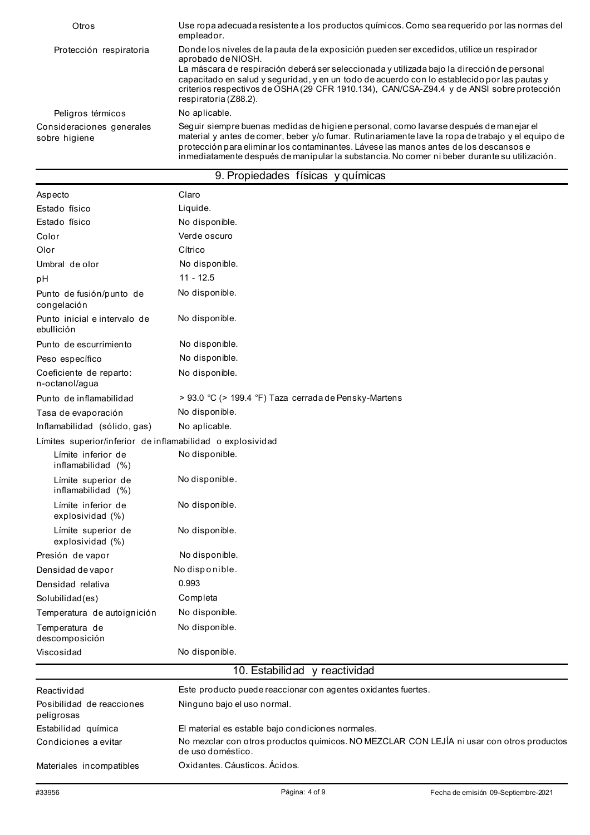| Otros                                      | Use ropa adecuada resistente a los productos químicos. Como sea requerido por las normas del<br>empleador.                                                                                                                                                                                                                                                                                                                            |
|--------------------------------------------|---------------------------------------------------------------------------------------------------------------------------------------------------------------------------------------------------------------------------------------------------------------------------------------------------------------------------------------------------------------------------------------------------------------------------------------|
| Protección respiratoria                    | Donde los niveles de la pauta de la exposición pueden ser excedidos, utilice un respirador<br>aprobado de NIOSH.<br>La máscara de respiración deberá ser seleccionada y utilizada bajo la dirección de personal<br>capacitado en salud y seguridad, y en un todo de acuerdo con lo establecido por las pautas y<br>criterios respectivos de OSHA (29 CFR 1910.134), CAN/CSA-Z94.4 y de ANSI sobre protección<br>respiratoria (Z88.2). |
| Peligros térmicos                          | No aplicable.                                                                                                                                                                                                                                                                                                                                                                                                                         |
| Consideraciones generales<br>sobre higiene | Seguir siempre buenas medidas de higiene personal, como lavarse después de manejar el<br>material y antes de comer, beber y/o fumar. Rutinariamente lave la ropa de trabajo y el equipo de<br>protección para eliminar los contaminantes. Lávese las manos antes de los descansos e<br>inmediatamente después de manipular la substancia. No comer ni beber durante su utilización.                                                   |

| 9. Propiedades físicas y químicas |  |  |
|-----------------------------------|--|--|
|-----------------------------------|--|--|

| Aspecto                                                                                                           | Claro                                                         |  |  |
|-------------------------------------------------------------------------------------------------------------------|---------------------------------------------------------------|--|--|
| Estado físico                                                                                                     | Liquide.                                                      |  |  |
| Estado físico                                                                                                     | No disponible.                                                |  |  |
| Color                                                                                                             | Verde oscuro                                                  |  |  |
| Olor                                                                                                              | Cítrico                                                       |  |  |
| Umbral de olor                                                                                                    | No disponible.                                                |  |  |
| pH                                                                                                                | $11 - 12.5$                                                   |  |  |
| Punto de fusión/punto de<br>congelación                                                                           | No disponible.                                                |  |  |
| Punto inicial e intervalo de<br>ebullición                                                                        | No disponible.                                                |  |  |
| Punto de escurrimiento                                                                                            | No disponible.                                                |  |  |
| Peso específico                                                                                                   | No disponible.                                                |  |  |
| Coeficiente de reparto:<br>n-octanol/agua                                                                         | No disponible.                                                |  |  |
| Punto de inflamabilidad                                                                                           | > 93.0 °C (> 199.4 °F) Taza cerrada de Pensky-Martens         |  |  |
| Tasa de evaporación                                                                                               | No disponible.                                                |  |  |
| Inflamabilidad (sólido, gas)                                                                                      | No aplicable.                                                 |  |  |
| Límites superior/inferior de inflamabilidad o explosividad                                                        |                                                               |  |  |
| Límite inferior de<br>inflamabilidad (%)                                                                          | No disponible.                                                |  |  |
| Límite superior de<br>inflamabilidad (%)                                                                          | No disponible.                                                |  |  |
| Límite inferior de<br>explosividad (%)                                                                            | No disponible.                                                |  |  |
| Límite superior de<br>explosividad (%)                                                                            | No disponible.                                                |  |  |
| Presión de vapor                                                                                                  | No disponible.                                                |  |  |
| Densidad de vapor                                                                                                 | No disponible.                                                |  |  |
| Densidad relativa                                                                                                 | 0.993                                                         |  |  |
| Solubilidad(es)                                                                                                   | Completa                                                      |  |  |
| Temperatura de autoignición                                                                                       | No disponible.                                                |  |  |
| Temperatura de<br>descomposición                                                                                  | No disponible.                                                |  |  |
| Viscosidad                                                                                                        | No disponible.                                                |  |  |
|                                                                                                                   | 10. Estabilidad y reactividad                                 |  |  |
| Reactividad                                                                                                       | Este producto puede reaccionar con agentes oxidantes fuertes. |  |  |
| Posibilidad de reacciones<br>peligrosas                                                                           | Ninguno bajo el uso normal.                                   |  |  |
| Estabilidad química                                                                                               | El material es estable bajo condiciones normales.             |  |  |
| No mezclar con otros productos químicos. NO MEZCLAR CON LEJÍA ni usar con otros productos<br>Condiciones a evitar |                                                               |  |  |

de uso doméstico.

Oxidantes. Cáusticos. Ácidos.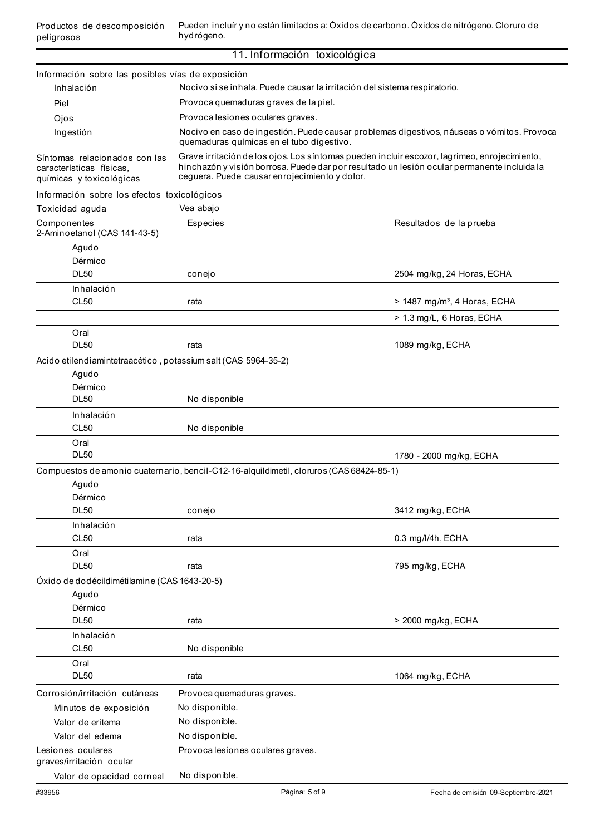Pueden incluír y no están limitados a: Óxidos de carbono. Óxidos de nitrógeno. Cloruro de hydrógeno.

|                                                                                       | 11. Información toxicológica                                                                                                                                                                                                                 |                                          |  |
|---------------------------------------------------------------------------------------|----------------------------------------------------------------------------------------------------------------------------------------------------------------------------------------------------------------------------------------------|------------------------------------------|--|
| Información sobre las posibles vías de exposición                                     |                                                                                                                                                                                                                                              |                                          |  |
| Inhalación                                                                            | Nocivo si se inhala. Puede causar la irritación del sistema respiratorio.                                                                                                                                                                    |                                          |  |
| Piel                                                                                  | Provoca quemaduras graves de la piel.                                                                                                                                                                                                        |                                          |  |
| Ojos                                                                                  |                                                                                                                                                                                                                                              |                                          |  |
| Ingestión                                                                             | Provoca lesiones oculares graves.                                                                                                                                                                                                            |                                          |  |
|                                                                                       | Nocivo en caso de ingestión. Puede causar problemas digestivos, náuseas o vómitos. Provoca<br>quemaduras químicas en el tubo digestivo.                                                                                                      |                                          |  |
| Síntomas relacionados con las<br>características físicas.<br>químicas y toxicológicas | Grave irritación de los ojos. Los síntomas pueden incluir escozor, lagrimeo, enrojecimiento,<br>hinchazón y visión borrosa. Puede dar por resultado un lesión ocular permanente incluida la<br>ceguera. Puede causar enrojecimiento y dolor. |                                          |  |
| Información sobre los efectos toxicológicos                                           |                                                                                                                                                                                                                                              |                                          |  |
| Toxicidad aguda                                                                       | Vea abajo                                                                                                                                                                                                                                    |                                          |  |
| Componentes<br>2-Aminoetanol (CAS 141-43-5)                                           | Especies                                                                                                                                                                                                                                     | Resultados de la prueba                  |  |
| Agudo                                                                                 |                                                                                                                                                                                                                                              |                                          |  |
| Dérmico                                                                               |                                                                                                                                                                                                                                              |                                          |  |
| <b>DL50</b>                                                                           | conejo                                                                                                                                                                                                                                       | 2504 mg/kg, 24 Horas, ECHA               |  |
| Inhalación                                                                            |                                                                                                                                                                                                                                              |                                          |  |
| <b>CL50</b>                                                                           | rata                                                                                                                                                                                                                                         | > 1487 mg/m <sup>3</sup> , 4 Horas, ECHA |  |
|                                                                                       |                                                                                                                                                                                                                                              | > 1.3 mg/L, 6 Horas, ECHA                |  |
| Oral                                                                                  |                                                                                                                                                                                                                                              |                                          |  |
| <b>DL50</b>                                                                           | rata                                                                                                                                                                                                                                         | 1089 mg/kg, ECHA                         |  |
| Acido etilendiamintetraacético, potassium salt (CAS 5964-35-2)                        |                                                                                                                                                                                                                                              |                                          |  |
| Agudo                                                                                 |                                                                                                                                                                                                                                              |                                          |  |
| Dérmico                                                                               |                                                                                                                                                                                                                                              |                                          |  |
| <b>DL50</b>                                                                           | No disponible                                                                                                                                                                                                                                |                                          |  |
| Inhalación                                                                            |                                                                                                                                                                                                                                              |                                          |  |
| <b>CL50</b>                                                                           | No disponible                                                                                                                                                                                                                                |                                          |  |
| Oral<br><b>DL50</b>                                                                   |                                                                                                                                                                                                                                              | 1780 - 2000 mg/kg, ECHA                  |  |
|                                                                                       | Compuestos de amonio cuaternario, bencil-C12-16-alquildimetil, cloruros (CAS 68424-85-1)                                                                                                                                                     |                                          |  |
| Agudo                                                                                 |                                                                                                                                                                                                                                              |                                          |  |
| Dérmico                                                                               |                                                                                                                                                                                                                                              |                                          |  |
| <b>DL50</b>                                                                           | conejo                                                                                                                                                                                                                                       | 3412 mg/kg, ECHA                         |  |
| Inhalación                                                                            |                                                                                                                                                                                                                                              |                                          |  |
| <b>CL50</b>                                                                           | rata                                                                                                                                                                                                                                         | 0.3 mg/l/4h, ECHA                        |  |
| Oral                                                                                  |                                                                                                                                                                                                                                              |                                          |  |
| <b>DL50</b>                                                                           | rata                                                                                                                                                                                                                                         | 795 mg/kg, ECHA                          |  |
| Óxido de dodécildimétilamine (CAS 1643-20-5)                                          |                                                                                                                                                                                                                                              |                                          |  |
| Agudo                                                                                 |                                                                                                                                                                                                                                              |                                          |  |
| Dérmico                                                                               |                                                                                                                                                                                                                                              |                                          |  |
| <b>DL50</b>                                                                           | rata                                                                                                                                                                                                                                         | > 2000 mg/kg, ECHA                       |  |
| Inhalación                                                                            |                                                                                                                                                                                                                                              |                                          |  |
| CL50                                                                                  | No disponible                                                                                                                                                                                                                                |                                          |  |
| Oral                                                                                  |                                                                                                                                                                                                                                              |                                          |  |
| <b>DL50</b>                                                                           | rata                                                                                                                                                                                                                                         | 1064 mg/kg, ECHA                         |  |
| Corrosión/irritación cutáneas                                                         | Provoca quemaduras graves.                                                                                                                                                                                                                   |                                          |  |
| Minutos de exposición                                                                 | No disponible.                                                                                                                                                                                                                               |                                          |  |
| Valor de eritema                                                                      | No disponible.                                                                                                                                                                                                                               |                                          |  |
| Valor del edema                                                                       | No disponible.                                                                                                                                                                                                                               |                                          |  |
| Lesiones oculares<br>graves/irritación ocular                                         | Provoca lesiones oculares graves.                                                                                                                                                                                                            |                                          |  |
| Valor de opacidad corneal                                                             | No disponible.                                                                                                                                                                                                                               |                                          |  |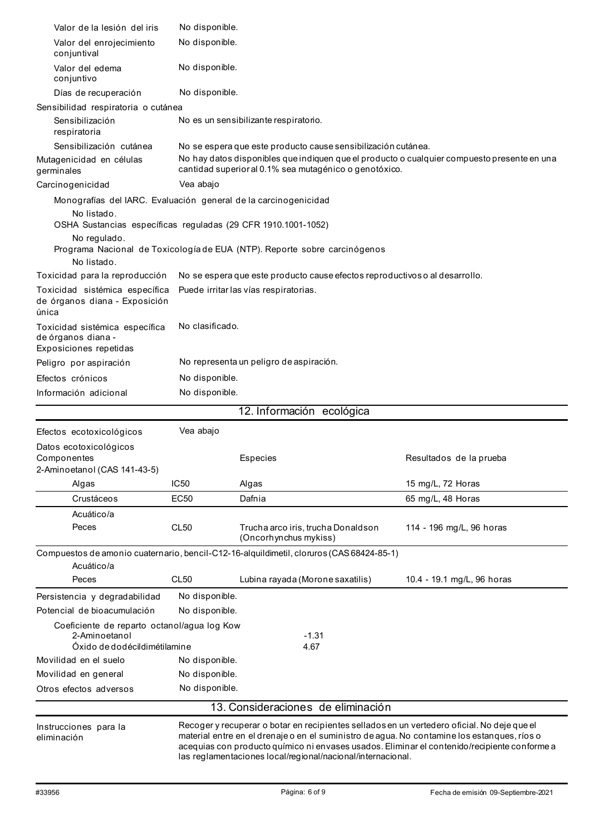| Valor de la lesión del iris                                                                                                                     | No disponible.                                                                                                                                       |                                                                                                                                                                                                                                                                                                                                                           |                            |  |
|-------------------------------------------------------------------------------------------------------------------------------------------------|------------------------------------------------------------------------------------------------------------------------------------------------------|-----------------------------------------------------------------------------------------------------------------------------------------------------------------------------------------------------------------------------------------------------------------------------------------------------------------------------------------------------------|----------------------------|--|
| Valor del enrojecimiento<br>conjuntival                                                                                                         | No disponible.                                                                                                                                       |                                                                                                                                                                                                                                                                                                                                                           |                            |  |
| Valor del edema<br>conjuntivo                                                                                                                   | No disponible.                                                                                                                                       |                                                                                                                                                                                                                                                                                                                                                           |                            |  |
| Días de recuperación                                                                                                                            | No disponible.                                                                                                                                       |                                                                                                                                                                                                                                                                                                                                                           |                            |  |
| Sensibilidad respiratoria o cutánea                                                                                                             |                                                                                                                                                      |                                                                                                                                                                                                                                                                                                                                                           |                            |  |
| Sensibilización<br>respiratoria                                                                                                                 | No es un sensibilizante respiratorio.                                                                                                                |                                                                                                                                                                                                                                                                                                                                                           |                            |  |
| Sensibilización cutánea                                                                                                                         | No se espera que este producto cause sensibilización cutánea.                                                                                        |                                                                                                                                                                                                                                                                                                                                                           |                            |  |
| Mutagenicidad en células<br>germinales                                                                                                          | No hay datos disponibles que indiquen que el producto o cualquier compuesto presente en una<br>cantidad superioral 0.1% sea mutagénico o genotóxico. |                                                                                                                                                                                                                                                                                                                                                           |                            |  |
| Carcinogenicidad                                                                                                                                | Vea abajo                                                                                                                                            |                                                                                                                                                                                                                                                                                                                                                           |                            |  |
| Monografías del IARC. Evaluación general de la carcinogenicidad<br>No listado.<br>OSHA Sustancias específicas reguladas (29 CFR 1910.1001-1052) |                                                                                                                                                      |                                                                                                                                                                                                                                                                                                                                                           |                            |  |
| No regulado.<br>No listado.                                                                                                                     |                                                                                                                                                      | Programa Nacional de Toxicología de EUA (NTP). Reporte sobre carcinógenos                                                                                                                                                                                                                                                                                 |                            |  |
| Toxicidad para la reproducción                                                                                                                  | No se espera que este producto cause efectos reproductivos o al desarrollo.                                                                          |                                                                                                                                                                                                                                                                                                                                                           |                            |  |
| Toxicidad sistémica específica<br>de órganos diana - Exposición<br>única                                                                        |                                                                                                                                                      | Puede irritar las vías respiratorias.                                                                                                                                                                                                                                                                                                                     |                            |  |
| Toxicidad sistémica específica<br>de órganos diana -<br>Exposiciones repetidas                                                                  | No clasificado.                                                                                                                                      |                                                                                                                                                                                                                                                                                                                                                           |                            |  |
| Peligro por aspiración                                                                                                                          | No representa un peligro de aspiración.                                                                                                              |                                                                                                                                                                                                                                                                                                                                                           |                            |  |
| Efectos crónicos                                                                                                                                | No disponible.                                                                                                                                       |                                                                                                                                                                                                                                                                                                                                                           |                            |  |
| Información adicional                                                                                                                           | No disponible.                                                                                                                                       |                                                                                                                                                                                                                                                                                                                                                           |                            |  |
|                                                                                                                                                 |                                                                                                                                                      | 12. Información ecológica                                                                                                                                                                                                                                                                                                                                 |                            |  |
| Efectos ecotoxicológicos                                                                                                                        | Vea abajo                                                                                                                                            |                                                                                                                                                                                                                                                                                                                                                           |                            |  |
| Datos ecotoxicológicos<br>Componentes<br>2-Aminoetanol (CAS 141-43-5)                                                                           |                                                                                                                                                      | Especies                                                                                                                                                                                                                                                                                                                                                  | Resultados de la prueba    |  |
| Algas                                                                                                                                           | <b>IC50</b>                                                                                                                                          | Algas                                                                                                                                                                                                                                                                                                                                                     | 15 mg/L, 72 Horas          |  |
| Crustáceos                                                                                                                                      | <b>EC50</b>                                                                                                                                          | Dafnia                                                                                                                                                                                                                                                                                                                                                    | 65 mg/L, 48 Horas          |  |
| Acuático/a                                                                                                                                      |                                                                                                                                                      |                                                                                                                                                                                                                                                                                                                                                           |                            |  |
| Peces                                                                                                                                           | <b>CL50</b>                                                                                                                                          | Trucha arco iris, trucha Donaldson<br>(Oncorhynchus mykiss)                                                                                                                                                                                                                                                                                               | 114 - 196 mg/L, 96 horas   |  |
|                                                                                                                                                 |                                                                                                                                                      | Compuestos de amonio cuaternario, bencil-C12-16-alquildimetil, cloruros (CAS 68424-85-1)                                                                                                                                                                                                                                                                  |                            |  |
| Acuático/a                                                                                                                                      |                                                                                                                                                      |                                                                                                                                                                                                                                                                                                                                                           |                            |  |
| Peces                                                                                                                                           | <b>CL50</b>                                                                                                                                          | Lubina rayada (Morone saxatilis)                                                                                                                                                                                                                                                                                                                          | 10.4 - 19.1 mg/L, 96 horas |  |
| Persistencia y degradabilidad                                                                                                                   | No disponible.                                                                                                                                       |                                                                                                                                                                                                                                                                                                                                                           |                            |  |
| Potencial de bioacumulación                                                                                                                     | No disponible.                                                                                                                                       |                                                                                                                                                                                                                                                                                                                                                           |                            |  |
| Coeficiente de reparto octanol/agua log Kow<br>2-Aminoetanol                                                                                    |                                                                                                                                                      | $-1.31$                                                                                                                                                                                                                                                                                                                                                   |                            |  |
| Óxido de dodécildimétilamine<br>Movilidad en el suelo                                                                                           |                                                                                                                                                      | 4.67                                                                                                                                                                                                                                                                                                                                                      |                            |  |
| Movilidad en general                                                                                                                            | No disponible.<br>No disponible.                                                                                                                     |                                                                                                                                                                                                                                                                                                                                                           |                            |  |
| Otros efectos adversos                                                                                                                          | No disponible.                                                                                                                                       |                                                                                                                                                                                                                                                                                                                                                           |                            |  |
|                                                                                                                                                 |                                                                                                                                                      |                                                                                                                                                                                                                                                                                                                                                           |                            |  |
|                                                                                                                                                 |                                                                                                                                                      | 13. Consideraciones de eliminación                                                                                                                                                                                                                                                                                                                        |                            |  |
| Instrucciones para la<br>eliminación                                                                                                            |                                                                                                                                                      | Recoger y recuperar o botar en recipientes sellados en un vertedero oficial. No deje que el<br>material entre en el drenaje o en el suministro de agua. No contamine los estanques, ríos o<br>acequias con producto químico ni envases usados. Eliminar el contenido/recipiente conforme a<br>las reglamentaciones local/regional/nacional/internacional. |                            |  |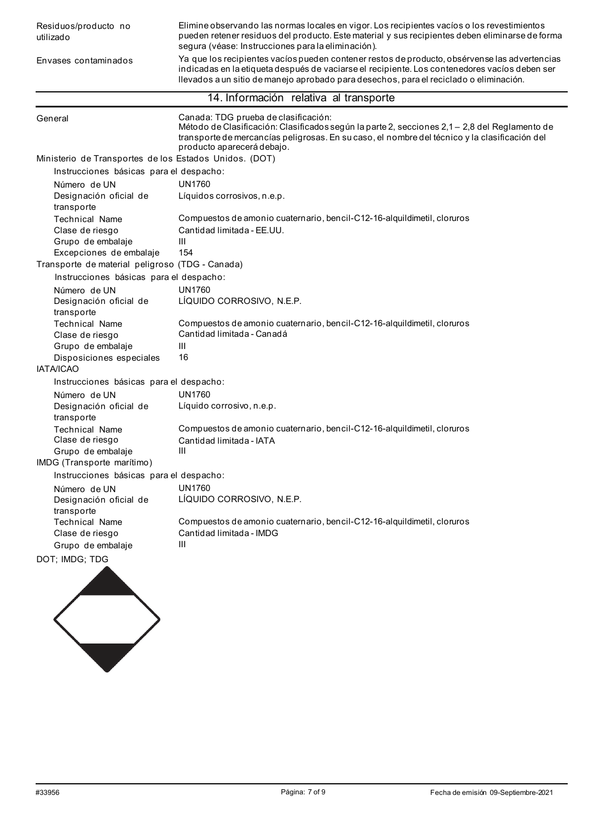Envases contaminados

Elimine observando las normas locales en vigor. Los recipientes vacíos o los revestimientos pueden retener residuos del producto. Este material y sus recipientes deben eliminarse de forma segura (véase: Instrucciones para la eliminación).

Ya que los recipientes vacíos pueden contener restos de producto, obsérvense las advertencias indicadas en la etiqueta después de vaciarse el recipiente. Los contenedores vacíos deben ser llevados a un sitio de manejo aprobado para desechos, para el reciclado o eliminación.

## 14. Información relativa al transporte

| General                                                | Canada: TDG prueba de clasificación:<br>Método de Clasificación: Clasificados según la parte 2, secciones 2,1 - 2,8 del Reglamento de<br>transporte de mercancías peligrosas. En su caso, el nombre del técnico y la clasificación del<br>producto aparecerá debajo. |  |  |
|--------------------------------------------------------|----------------------------------------------------------------------------------------------------------------------------------------------------------------------------------------------------------------------------------------------------------------------|--|--|
| Ministerio de Transportes de los Estados Unidos. (DOT) |                                                                                                                                                                                                                                                                      |  |  |
| Instrucciones básicas para el despacho:                |                                                                                                                                                                                                                                                                      |  |  |
| Número de UN                                           | <b>UN1760</b>                                                                                                                                                                                                                                                        |  |  |
| Designación oficial de<br>transporte                   | Líquidos corrosivos, n.e.p.                                                                                                                                                                                                                                          |  |  |
| <b>Technical Name</b>                                  | Compuestos de amonio cuaternario, bencil-C12-16-alquildimetil, cloruros                                                                                                                                                                                              |  |  |
| Clase de riesgo                                        | Cantidad limitada - EE.UU.                                                                                                                                                                                                                                           |  |  |
| Grupo de embalaje                                      | III                                                                                                                                                                                                                                                                  |  |  |
| Excepciones de embalaje                                | 154                                                                                                                                                                                                                                                                  |  |  |
| Transporte de material peligroso (TDG - Canada)        |                                                                                                                                                                                                                                                                      |  |  |
| Instrucciones básicas para el despacho:                |                                                                                                                                                                                                                                                                      |  |  |
| Número de UN                                           | <b>UN1760</b>                                                                                                                                                                                                                                                        |  |  |
| Designación oficial de<br>transporte                   | LÍQUIDO CORROSIVO, N.E.P.                                                                                                                                                                                                                                            |  |  |
| <b>Technical Name</b>                                  | Compuestos de amonio cuaternario, bencil-C12-16-alquildimetil, cloruros                                                                                                                                                                                              |  |  |
| Clase de riesgo                                        | Cantidad limitada - Canadá                                                                                                                                                                                                                                           |  |  |
| Grupo de embalaje                                      | Ш                                                                                                                                                                                                                                                                    |  |  |
| Disposiciones especiales                               | 16                                                                                                                                                                                                                                                                   |  |  |
| <b>IATA/ICAO</b>                                       |                                                                                                                                                                                                                                                                      |  |  |
| Instrucciones básicas para el despacho:                |                                                                                                                                                                                                                                                                      |  |  |
| Número de UN                                           | <b>UN1760</b>                                                                                                                                                                                                                                                        |  |  |
| Designación oficial de<br>transporte                   | Líquido corrosivo, n.e.p.                                                                                                                                                                                                                                            |  |  |
| <b>Technical Name</b>                                  | Compuestos de amonio cuaternario, bencil-C12-16-alquildimetil, cloruros                                                                                                                                                                                              |  |  |
| Clase de riesgo                                        | Cantidad limitada - IATA                                                                                                                                                                                                                                             |  |  |
| Grupo de embalaje                                      | Ш                                                                                                                                                                                                                                                                    |  |  |
| IMDG (Transporte marítimo)                             |                                                                                                                                                                                                                                                                      |  |  |
| Instrucciones básicas para el despacho:                |                                                                                                                                                                                                                                                                      |  |  |
| Número de UN                                           | <b>UN1760</b>                                                                                                                                                                                                                                                        |  |  |
| Designación oficial de<br>transporte                   | LIQUIDO CORROSIVO, N.E.P.                                                                                                                                                                                                                                            |  |  |
| <b>Technical Name</b>                                  | Compuestos de amonio cuaternario, bencil-C12-16-alquildimetil, cloruros                                                                                                                                                                                              |  |  |
| Clase de riesgo                                        | Cantidad limitada - IMDG                                                                                                                                                                                                                                             |  |  |
| Grupo de embalaje                                      | Ш                                                                                                                                                                                                                                                                    |  |  |
| DOT; IMDG; TDG                                         |                                                                                                                                                                                                                                                                      |  |  |
|                                                        |                                                                                                                                                                                                                                                                      |  |  |

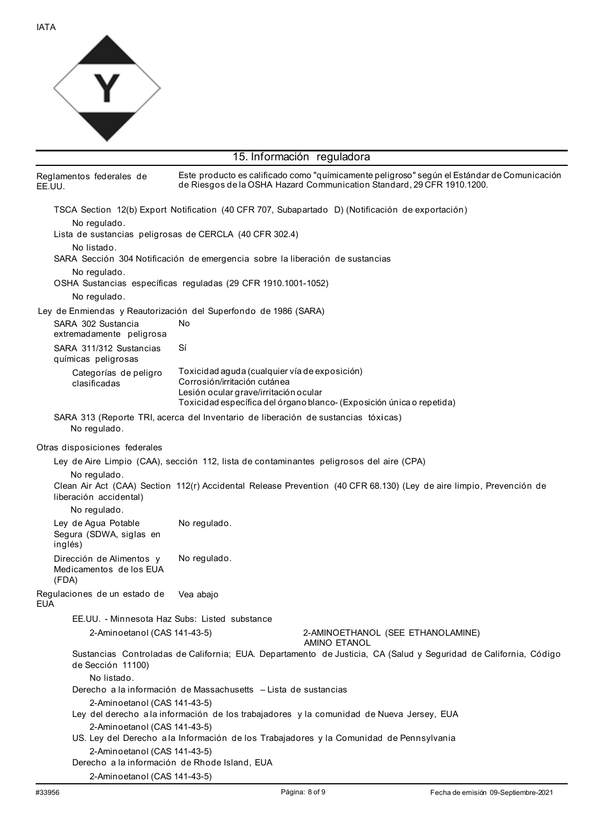

| 15. Información reguladora                                      |                                                                                   |                                                                                                                                                                       |
|-----------------------------------------------------------------|-----------------------------------------------------------------------------------|-----------------------------------------------------------------------------------------------------------------------------------------------------------------------|
| Reglamentos federales de<br>EE.UU.                              |                                                                                   | Este producto es calificado como "químicamente peligroso" según el Estándar de Comunicación<br>de Riesgos de la OSHA Hazard Communication Standard, 29 CFR 1910.1200. |
| No regulado.                                                    |                                                                                   | TSCA Section 12(b) Export Notification (40 CFR 707, Subapartado D) (Notificación de exportación)                                                                      |
|                                                                 | Lista de sustancias peligrosas de CERCLA (40 CFR 302.4)                           |                                                                                                                                                                       |
| No listado.                                                     | SARA Sección 304 Notificación de emergencia sobre la liberación de sustancias     |                                                                                                                                                                       |
| No regulado.                                                    | OSHA Sustancias específicas reguladas (29 CFR 1910.1001-1052)                     |                                                                                                                                                                       |
| No regulado.                                                    |                                                                                   |                                                                                                                                                                       |
| Ley de Enmiendas y Reautorización del Superfondo de 1986 (SARA) |                                                                                   |                                                                                                                                                                       |
| SARA 302 Sustancia<br>extremadamente peligrosa                  | No                                                                                |                                                                                                                                                                       |
| SARA 311/312 Sustancias<br>químicas peligrosas                  | Sí                                                                                |                                                                                                                                                                       |
| Categorías de peligro<br>clasificadas                           | Toxicidad aguda (cualquier vía de exposición)<br>Corrosión/irritación cutánea     |                                                                                                                                                                       |
|                                                                 | Lesión ocular grave/irritación ocular                                             | Toxicidad específica del órgano blanco- (Exposición única o repetida)                                                                                                 |
|                                                                 | SARA 313 (Reporte TRI, acerca del Inventario de liberación de sustancias tóxicas) |                                                                                                                                                                       |
| No regulado.                                                    |                                                                                   |                                                                                                                                                                       |
| Otras disposiciones federales                                   |                                                                                   |                                                                                                                                                                       |
|                                                                 |                                                                                   | Ley de Aire Limpio (CAA), sección 112, lista de contaminantes peligrosos del aire (CPA)                                                                               |
| No regulado.<br>liberación accidental)                          |                                                                                   | Clean Air Act (CAA) Section 112(r) Accidental Release Prevention (40 CFR 68.130) (Ley de aire limpio, Prevención de                                                   |
| No regulado.                                                    |                                                                                   |                                                                                                                                                                       |
| Ley de Agua Potable<br>Segura (SDWA, siglas en<br>inglés)       | No regulado.                                                                      |                                                                                                                                                                       |
| Dirección de Alimentos y<br>Medicamentos de los EUA<br>(FDA)    | No regulado.                                                                      |                                                                                                                                                                       |
| Requlaciones de un estado de<br><b>EUA</b>                      | Vea abajo                                                                         |                                                                                                                                                                       |
| EE.UU. - Minnesota Haz Subs: Listed substance                   |                                                                                   |                                                                                                                                                                       |
| 2-Aminoetanol (CAS 141-43-5)                                    |                                                                                   | 2-AMINOETHANOL (SEE ETHANOLAMINE)<br><b>AMINO ETANOL</b>                                                                                                              |
| de Sección 11100)                                               |                                                                                   | Sustancias Controladas de California; EUA. Departamento de Justicia, CA (Salud y Seguridad de California, Código                                                      |
| No listado.                                                     |                                                                                   |                                                                                                                                                                       |
|                                                                 | Derecho a la información de Massachusetts - Lista de sustancias                   |                                                                                                                                                                       |
| 2-Aminoetanol (CAS 141-43-5)                                    |                                                                                   |                                                                                                                                                                       |
|                                                                 |                                                                                   | Ley del derecho a la información de los trabajadores y la comunidad de Nueva Jersey, EUA                                                                              |
| 2-Aminoetanol (CAS 141-43-5)                                    |                                                                                   | US. Ley del Derecho a la Información de los Trabajadores y la Comunidad de Pennsylvania                                                                               |
| 2-Aminoetanol (CAS 141-43-5)                                    |                                                                                   |                                                                                                                                                                       |
| Derecho a la información de Rhode Island, EUA                   |                                                                                   |                                                                                                                                                                       |
| 2-Aminoetanol (CAS 141-43-5)                                    |                                                                                   |                                                                                                                                                                       |